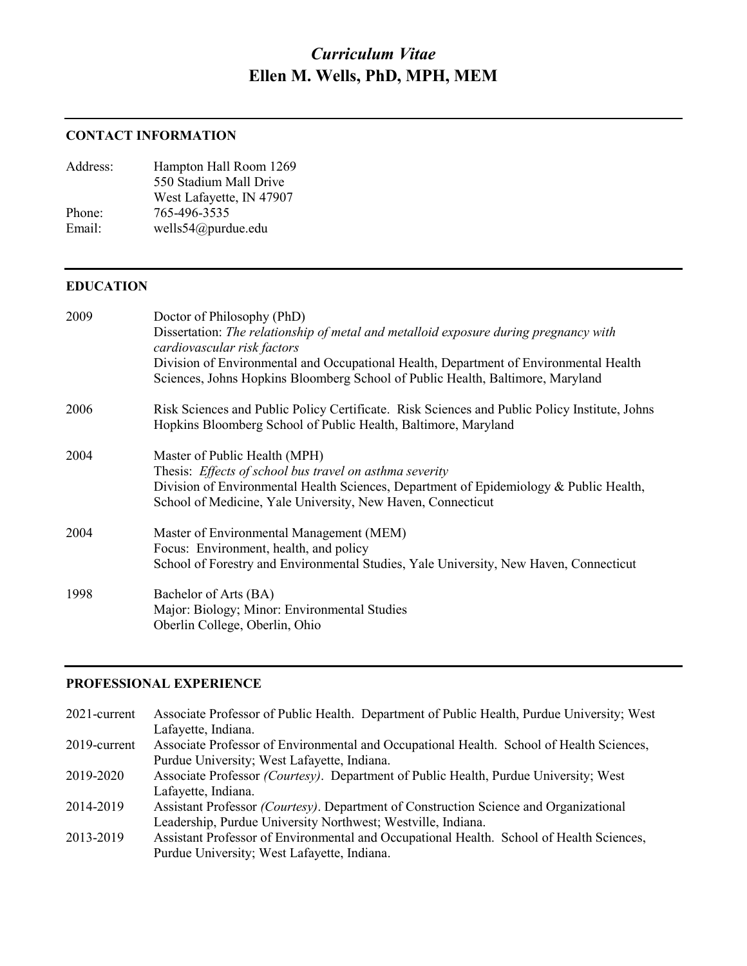# *Curriculum Vitae* **Ellen M. Wells, PhD, MPH, MEM**

# **CONTACT INFORMATION**

| Address: | Hampton Hall Room 1269   |
|----------|--------------------------|
|          | 550 Stadium Mall Drive   |
|          | West Lafayette, IN 47907 |
| Phone:   | 765-496-3535             |
| Email:   | wells54@purdue.edu       |
|          |                          |

#### **EDUCATION**

| 2009 | Doctor of Philosophy (PhD)                                                                                          |
|------|---------------------------------------------------------------------------------------------------------------------|
|      | Dissertation: The relationship of metal and metalloid exposure during pregnancy with<br>cardiovascular risk factors |
|      | Division of Environmental and Occupational Health, Department of Environmental Health                               |
|      | Sciences, Johns Hopkins Bloomberg School of Public Health, Baltimore, Maryland                                      |
| 2006 | Risk Sciences and Public Policy Certificate. Risk Sciences and Public Policy Institute, Johns                       |
|      | Hopkins Bloomberg School of Public Health, Baltimore, Maryland                                                      |
| 2004 | Master of Public Health (MPH)                                                                                       |
|      | Thesis: <i>Effects of school bus travel on asthma severity</i>                                                      |
|      | Division of Environmental Health Sciences, Department of Epidemiology & Public Health,                              |
|      | School of Medicine, Yale University, New Haven, Connecticut                                                         |
| 2004 | Master of Environmental Management (MEM)                                                                            |
|      | Focus: Environment, health, and policy                                                                              |
|      | School of Forestry and Environmental Studies, Yale University, New Haven, Connecticut                               |
| 1998 | Bachelor of Arts (BA)                                                                                               |
|      | Major: Biology; Minor: Environmental Studies                                                                        |
|      | Oberlin College, Oberlin, Ohio                                                                                      |
|      |                                                                                                                     |

# **PROFESSIONAL EXPERIENCE**

| 2021-current | Associate Professor of Public Health. Department of Public Health, Purdue University; West |
|--------------|--------------------------------------------------------------------------------------------|
|              | Lafayette, Indiana.                                                                        |
| 2019-current | Associate Professor of Environmental and Occupational Health. School of Health Sciences,   |
|              | Purdue University; West Lafayette, Indiana.                                                |
| 2019-2020    | Associate Professor (Courtesy). Department of Public Health, Purdue University; West       |
|              | Lafayette, Indiana.                                                                        |
| 2014-2019    | Assistant Professor (Courtesy). Department of Construction Science and Organizational      |
|              | Leadership, Purdue University Northwest; Westville, Indiana.                               |
| 2013-2019    | Assistant Professor of Environmental and Occupational Health. School of Health Sciences,   |
|              | Purdue University; West Lafayette, Indiana.                                                |
|              |                                                                                            |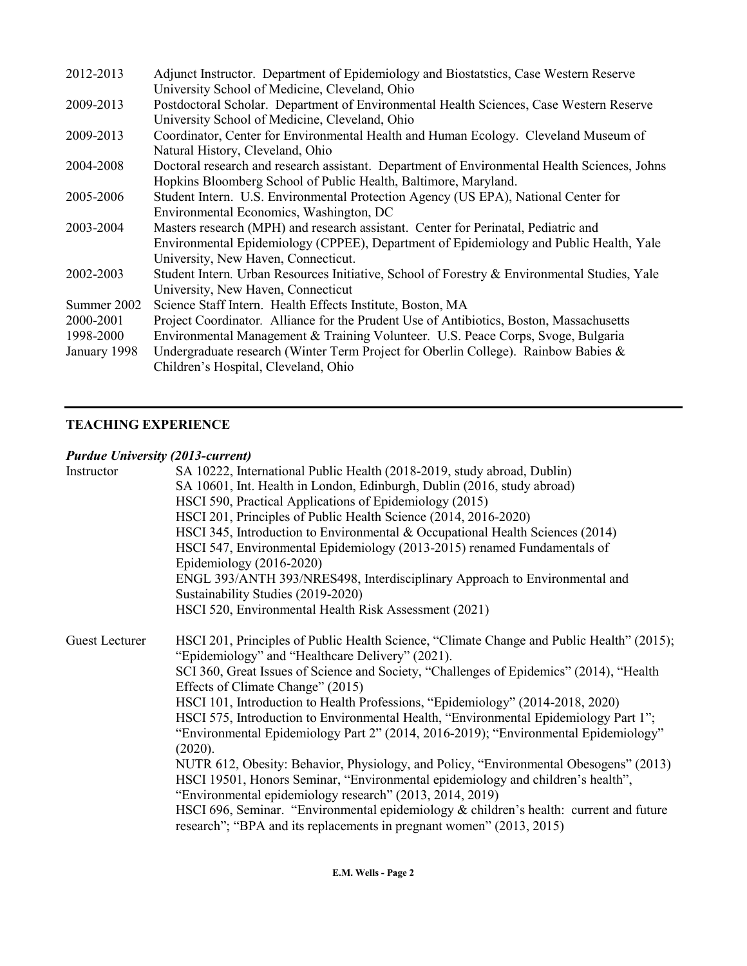| 2012-2013                              | Adjunct Instructor. Department of Epidemiology and Biostatstics, Case Western Reserve<br>University School of Medicine, Cleveland, Ohio                                                                                                                                                                   |
|----------------------------------------|-----------------------------------------------------------------------------------------------------------------------------------------------------------------------------------------------------------------------------------------------------------------------------------------------------------|
| 2009-2013                              | Postdoctoral Scholar. Department of Environmental Health Sciences, Case Western Reserve<br>University School of Medicine, Cleveland, Ohio                                                                                                                                                                 |
| 2009-2013                              | Coordinator, Center for Environmental Health and Human Ecology. Cleveland Museum of<br>Natural History, Cleveland, Ohio                                                                                                                                                                                   |
| 2004-2008                              | Doctoral research and research assistant. Department of Environmental Health Sciences, Johns<br>Hopkins Bloomberg School of Public Health, Baltimore, Maryland.                                                                                                                                           |
| 2005-2006                              | Student Intern. U.S. Environmental Protection Agency (US EPA), National Center for<br>Environmental Economics, Washington, DC                                                                                                                                                                             |
| 2003-2004                              | Masters research (MPH) and research assistant. Center for Perinatal, Pediatric and<br>Environmental Epidemiology (CPPEE), Department of Epidemiology and Public Health, Yale<br>University, New Haven, Connecticut.                                                                                       |
| 2002-2003                              | Student Intern. Urban Resources Initiative, School of Forestry & Environmental Studies, Yale<br>University, New Haven, Connecticut                                                                                                                                                                        |
| Summer 2002                            | Science Staff Intern. Health Effects Institute, Boston, MA                                                                                                                                                                                                                                                |
| 2000-2001<br>1998-2000<br>January 1998 | Project Coordinator. Alliance for the Prudent Use of Antibiotics, Boston, Massachusetts<br>Environmental Management & Training Volunteer. U.S. Peace Corps, Svoge, Bulgaria<br>Undergraduate research (Winter Term Project for Oberlin College). Rainbow Babies &<br>Children's Hospital, Cleveland, Ohio |

# **TEACHING EXPERIENCE**

### *Purdue University (2013-current)*

| Puraue University (2015-current) |                                                                                                                                                                                                                                                                                                                                   |
|----------------------------------|-----------------------------------------------------------------------------------------------------------------------------------------------------------------------------------------------------------------------------------------------------------------------------------------------------------------------------------|
| Instructor                       | SA 10222, International Public Health (2018-2019, study abroad, Dublin)                                                                                                                                                                                                                                                           |
|                                  | SA 10601, Int. Health in London, Edinburgh, Dublin (2016, study abroad)                                                                                                                                                                                                                                                           |
|                                  | HSCI 590, Practical Applications of Epidemiology (2015)                                                                                                                                                                                                                                                                           |
|                                  | HSCI 201, Principles of Public Health Science (2014, 2016-2020)                                                                                                                                                                                                                                                                   |
|                                  | HSCI 345, Introduction to Environmental & Occupational Health Sciences (2014)                                                                                                                                                                                                                                                     |
|                                  | HSCI 547, Environmental Epidemiology (2013-2015) renamed Fundamentals of                                                                                                                                                                                                                                                          |
|                                  | Epidemiology $(2016-2020)$                                                                                                                                                                                                                                                                                                        |
|                                  | ENGL 393/ANTH 393/NRES498, Interdisciplinary Approach to Environmental and                                                                                                                                                                                                                                                        |
|                                  | Sustainability Studies (2019-2020)                                                                                                                                                                                                                                                                                                |
|                                  | HSCI 520, Environmental Health Risk Assessment (2021)                                                                                                                                                                                                                                                                             |
| <b>Guest Lecturer</b>            | HSCI 201, Principles of Public Health Science, "Climate Change and Public Health" (2015);<br>"Epidemiology" and "Healthcare Delivery" (2021).                                                                                                                                                                                     |
|                                  | SCI 360, Great Issues of Science and Society, "Challenges of Epidemics" (2014), "Health<br>Effects of Climate Change" (2015)                                                                                                                                                                                                      |
|                                  | HSCI 101, Introduction to Health Professions, "Epidemiology" (2014-2018, 2020)                                                                                                                                                                                                                                                    |
|                                  | HSCI 575, Introduction to Environmental Health, "Environmental Epidemiology Part 1";<br>"Environmental Epidemiology Part 2" (2014, 2016-2019); "Environmental Epidemiology"<br>(2020).                                                                                                                                            |
|                                  | NUTR 612, Obesity: Behavior, Physiology, and Policy, "Environmental Obesogens" (2013)<br>HSCI 19501, Honors Seminar, "Environmental epidemiology and children's health",<br>"Environmental epidemiology research" (2013, 2014, 2019)<br>HSCI 696, Seminar. "Environmental epidemiology $\&$ children's health: current and future |
|                                  | research"; "BPA and its replacements in pregnant women" (2013, 2015)                                                                                                                                                                                                                                                              |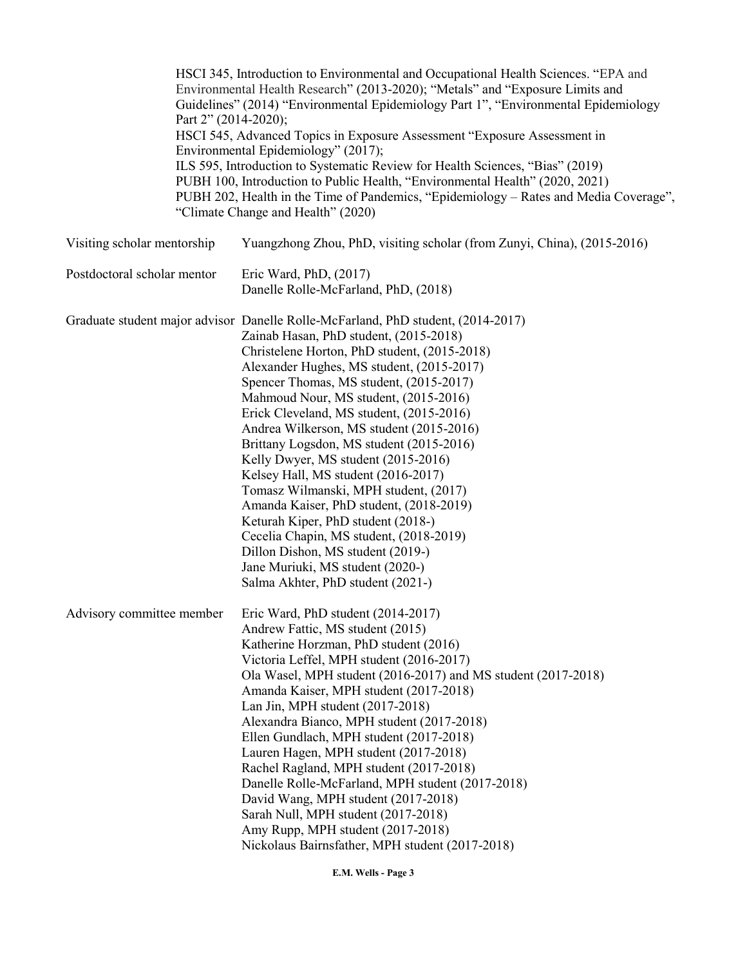| Part 2" (2014-2020);        | HSCI 345, Introduction to Environmental and Occupational Health Sciences. "EPA and<br>Environmental Health Research" (2013-2020); "Metals" and "Exposure Limits and<br>Guidelines" (2014) "Environmental Epidemiology Part 1", "Environmental Epidemiology<br>HSCI 545, Advanced Topics in Exposure Assessment "Exposure Assessment in<br>Environmental Epidemiology" (2017);<br>ILS 595, Introduction to Systematic Review for Health Sciences, "Bias" (2019)<br>PUBH 100, Introduction to Public Health, "Environmental Health" (2020, 2021)<br>PUBH 202, Health in the Time of Pandemics, "Epidemiology - Rates and Media Coverage",<br>"Climate Change and Health" (2020)                                                                                                                                    |
|-----------------------------|------------------------------------------------------------------------------------------------------------------------------------------------------------------------------------------------------------------------------------------------------------------------------------------------------------------------------------------------------------------------------------------------------------------------------------------------------------------------------------------------------------------------------------------------------------------------------------------------------------------------------------------------------------------------------------------------------------------------------------------------------------------------------------------------------------------|
| Visiting scholar mentorship | Yuangzhong Zhou, PhD, visiting scholar (from Zunyi, China), (2015-2016)                                                                                                                                                                                                                                                                                                                                                                                                                                                                                                                                                                                                                                                                                                                                          |
| Postdoctoral scholar mentor | Eric Ward, PhD, $(2017)$<br>Danelle Rolle-McFarland, PhD, (2018)                                                                                                                                                                                                                                                                                                                                                                                                                                                                                                                                                                                                                                                                                                                                                 |
|                             | Graduate student major advisor Danelle Rolle-McFarland, PhD student, (2014-2017)<br>Zainab Hasan, PhD student, (2015-2018)<br>Christelene Horton, PhD student, (2015-2018)<br>Alexander Hughes, MS student, (2015-2017)<br>Spencer Thomas, MS student, (2015-2017)<br>Mahmoud Nour, MS student, (2015-2016)<br>Erick Cleveland, MS student, (2015-2016)<br>Andrea Wilkerson, MS student (2015-2016)<br>Brittany Logsdon, MS student (2015-2016)<br>Kelly Dwyer, MS student (2015-2016)<br>Kelsey Hall, MS student (2016-2017)<br>Tomasz Wilmanski, MPH student, (2017)<br>Amanda Kaiser, PhD student, (2018-2019)<br>Keturah Kiper, PhD student (2018-)<br>Cecelia Chapin, MS student, (2018-2019)<br>Dillon Dishon, MS student (2019-)<br>Jane Muriuki, MS student (2020-)<br>Salma Akhter, PhD student (2021-) |
|                             | Advisory committee member Eric Ward, PhD student (2014-2017)<br>Andrew Fattic, MS student (2015)<br>Katherine Horzman, PhD student (2016)<br>Victoria Leffel, MPH student (2016-2017)<br>Ola Wasel, MPH student (2016-2017) and MS student (2017-2018)<br>Amanda Kaiser, MPH student (2017-2018)<br>Lan Jin, MPH student (2017-2018)<br>Alexandra Bianco, MPH student (2017-2018)<br>Ellen Gundlach, MPH student (2017-2018)<br>Lauren Hagen, MPH student (2017-2018)<br>Rachel Ragland, MPH student (2017-2018)<br>Danelle Rolle-McFarland, MPH student (2017-2018)<br>David Wang, MPH student (2017-2018)<br>Sarah Null, MPH student (2017-2018)<br>Amy Rupp, MPH student (2017-2018)<br>Nickolaus Bairnsfather, MPH student (2017-2018)                                                                       |

**E.M. Wells - Page 3**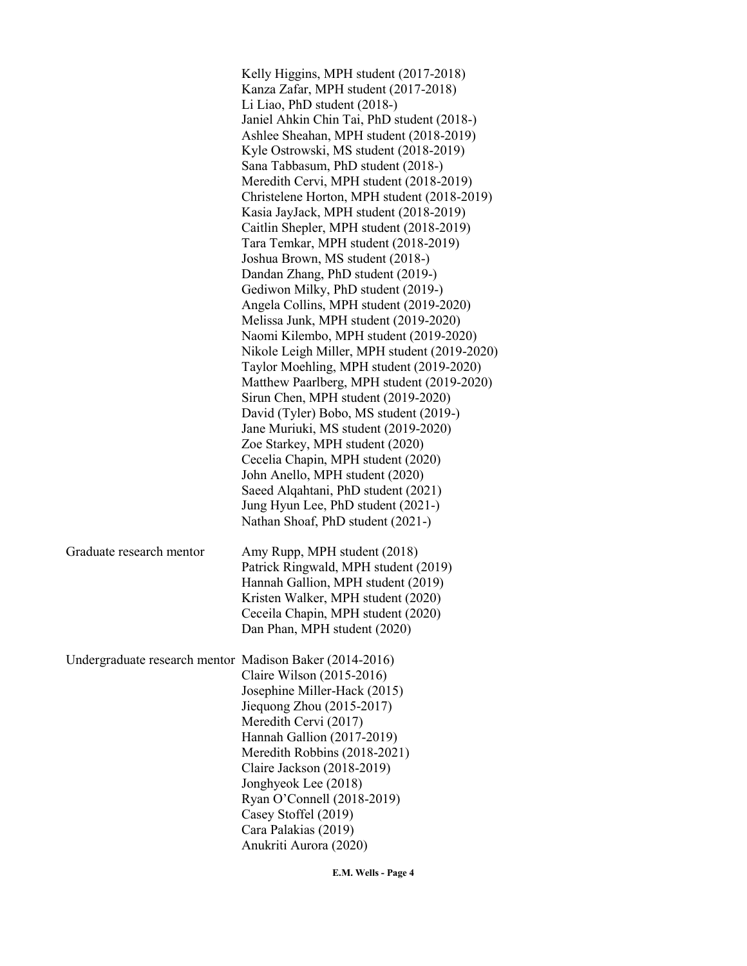|                                                         | Kelly Higgins, MPH student (2017-2018)<br>Kanza Zafar, MPH student (2017-2018)<br>Li Liao, PhD student (2018-)<br>Janiel Ahkin Chin Tai, PhD student (2018-)<br>Ashlee Sheahan, MPH student (2018-2019)<br>Kyle Ostrowski, MS student (2018-2019)<br>Sana Tabbasum, PhD student (2018-)<br>Meredith Cervi, MPH student (2018-2019)<br>Christelene Horton, MPH student (2018-2019)<br>Kasia JayJack, MPH student (2018-2019)<br>Caitlin Shepler, MPH student (2018-2019)<br>Tara Temkar, MPH student (2018-2019)<br>Joshua Brown, MS student (2018-)<br>Dandan Zhang, PhD student (2019-)<br>Gediwon Milky, PhD student (2019-)<br>Angela Collins, MPH student (2019-2020)<br>Melissa Junk, MPH student (2019-2020)<br>Naomi Kilembo, MPH student (2019-2020)<br>Nikole Leigh Miller, MPH student (2019-2020)<br>Taylor Moehling, MPH student (2019-2020)<br>Matthew Paarlberg, MPH student (2019-2020)<br>Sirun Chen, MPH student (2019-2020)<br>David (Tyler) Bobo, MS student (2019-)<br>Jane Muriuki, MS student (2019-2020)<br>Zoe Starkey, MPH student (2020)<br>Cecelia Chapin, MPH student (2020)<br>John Anello, MPH student (2020)<br>Saeed Alqahtani, PhD student (2021)<br>Jung Hyun Lee, PhD student (2021-)<br>Nathan Shoaf, PhD student (2021-) |
|---------------------------------------------------------|---------------------------------------------------------------------------------------------------------------------------------------------------------------------------------------------------------------------------------------------------------------------------------------------------------------------------------------------------------------------------------------------------------------------------------------------------------------------------------------------------------------------------------------------------------------------------------------------------------------------------------------------------------------------------------------------------------------------------------------------------------------------------------------------------------------------------------------------------------------------------------------------------------------------------------------------------------------------------------------------------------------------------------------------------------------------------------------------------------------------------------------------------------------------------------------------------------------------------------------------------------------|
| Graduate research mentor                                | Amy Rupp, MPH student (2018)<br>Patrick Ringwald, MPH student (2019)<br>Hannah Gallion, MPH student (2019)<br>Kristen Walker, MPH student (2020)<br>Ceceila Chapin, MPH student (2020)<br>Dan Phan, MPH student (2020)                                                                                                                                                                                                                                                                                                                                                                                                                                                                                                                                                                                                                                                                                                                                                                                                                                                                                                                                                                                                                                        |
| Undergraduate research mentor Madison Baker (2014-2016) | Claire Wilson (2015-2016)<br>Josephine Miller-Hack (2015)<br>Jiequong Zhou (2015-2017)<br>Meredith Cervi (2017)<br>Hannah Gallion (2017-2019)<br>Meredith Robbins (2018-2021)<br>Claire Jackson (2018-2019)<br>Jonghyeok Lee (2018)<br>Ryan O'Connell (2018-2019)<br>Casey Stoffel (2019)<br>Cara Palakias (2019)<br>Anukriti Aurora (2020)                                                                                                                                                                                                                                                                                                                                                                                                                                                                                                                                                                                                                                                                                                                                                                                                                                                                                                                   |

**E.M. Wells - Page 4**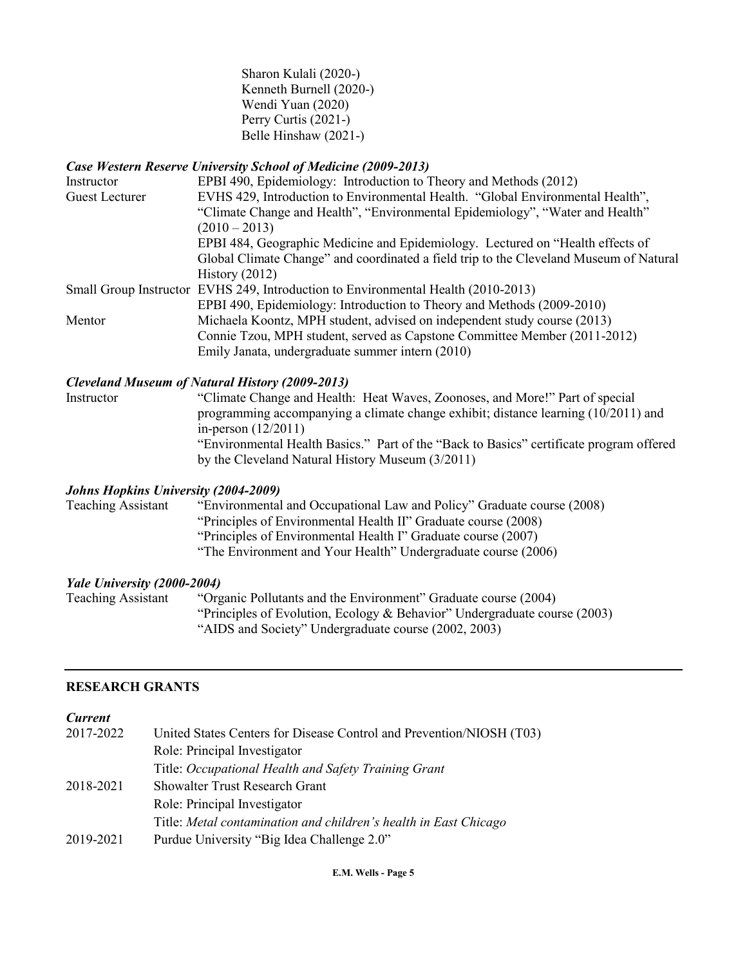Sharon Kulali (2020-) Kenneth Burnell (2020-) Wendi Yuan (2020) Perry Curtis (2021-) Belle Hinshaw (2021-)

#### *Case Western Reserve University School of Medicine (2009-2013)*

| Instructor     | EPBI 490, Epidemiology: Introduction to Theory and Methods (2012)                      |
|----------------|----------------------------------------------------------------------------------------|
| Guest Lecturer | EVHS 429, Introduction to Environmental Health. "Global Environmental Health",         |
|                | "Climate Change and Health", "Environmental Epidemiology", "Water and Health"          |
|                | $(2010 - 2013)$                                                                        |
|                | EPBI 484, Geographic Medicine and Epidemiology. Lectured on "Health effects of         |
|                | Global Climate Change" and coordinated a field trip to the Cleveland Museum of Natural |
|                | History $(2012)$                                                                       |
|                | Small Group Instructor EVHS 249, Introduction to Environmental Health (2010-2013)      |
|                | EPBI 490, Epidemiology: Introduction to Theory and Methods (2009-2010)                 |
| Mentor         | Michaela Koontz, MPH student, advised on independent study course (2013)               |
|                | Connie Tzou, MPH student, served as Capstone Committee Member (2011-2012)              |
|                | Emily Janata, undergraduate summer intern (2010)                                       |

#### *Cleveland Museum of Natural History (2009-2013)*

Instructor "Climate Change and Health: Heat Waves, Zoonoses, and More!" Part of special programming accompanying a climate change exhibit; distance learning (10/2011) and in-person (12/2011) "Environmental Health Basics." Part of the "Back to Basics" certificate program offered by the Cleveland Natural History Museum (3/2011)

#### *Johns Hopkins University (2004-2009)*

| <b>Teaching Assistant</b> | "Environmental and Occupational Law and Policy" Graduate course (2008) |
|---------------------------|------------------------------------------------------------------------|
|                           | "Principles of Environmental Health II" Graduate course (2008)         |
|                           | "Principles of Environmental Health I" Graduate course (2007)          |
|                           | "The Environment and Your Health" Undergraduate course (2006)          |
|                           |                                                                        |

#### *Yale University (2000-2004)*

| <b>Teaching Assistant</b> | "Organic Pollutants and the Environment" Graduate course (2004)           |
|---------------------------|---------------------------------------------------------------------------|
|                           | "Principles of Evolution, Ecology & Behavior" Undergraduate course (2003) |
|                           | "AIDS and Society" Undergraduate course (2002, 2003)                      |

#### **RESEARCH GRANTS**

| <b>Current</b> |                                                                      |
|----------------|----------------------------------------------------------------------|
| 2017-2022      | United States Centers for Disease Control and Prevention/NIOSH (T03) |
|                | Role: Principal Investigator                                         |
|                | Title: Occupational Health and Safety Training Grant                 |
| 2018-2021      | <b>Showalter Trust Research Grant</b>                                |
|                | Role: Principal Investigator                                         |
|                | Title: Metal contamination and children's health in East Chicago     |
| 2019-2021      | Purdue University "Big Idea Challenge 2.0"                           |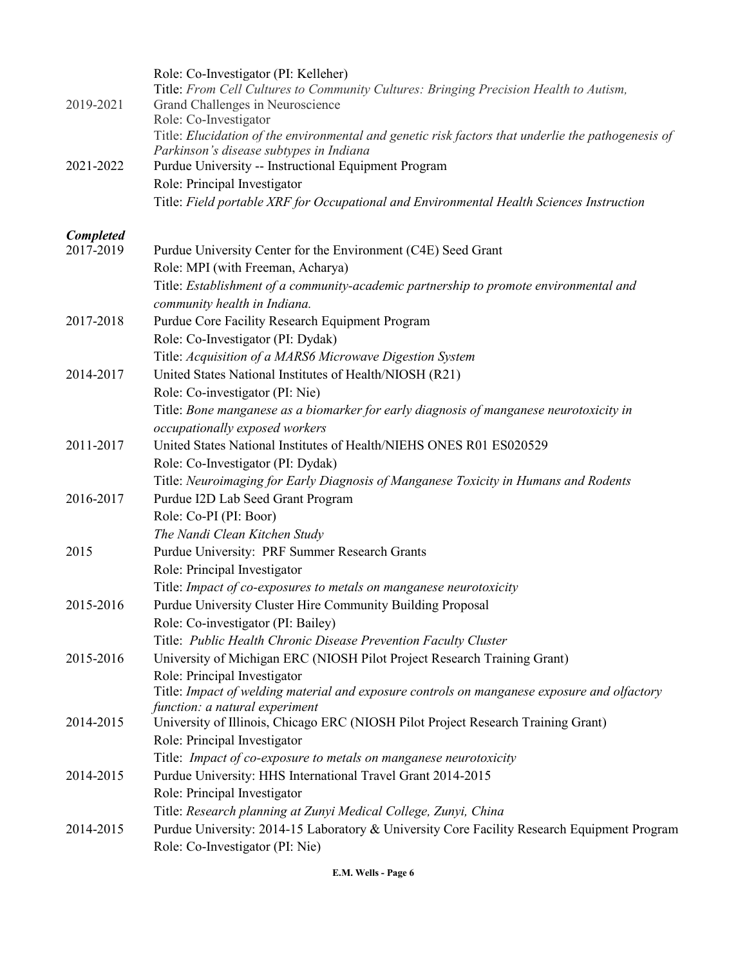| 2019-2021        | Role: Co-Investigator (PI: Kelleher)<br>Title: From Cell Cultures to Community Cultures: Bringing Precision Health to Autism,<br>Grand Challenges in Neuroscience<br>Role: Co-Investigator<br>Title: Elucidation of the environmental and genetic risk factors that underlie the pathogenesis of |
|------------------|--------------------------------------------------------------------------------------------------------------------------------------------------------------------------------------------------------------------------------------------------------------------------------------------------|
| 2021-2022        | Parkinson's disease subtypes in Indiana<br>Purdue University -- Instructional Equipment Program<br>Role: Principal Investigator                                                                                                                                                                  |
|                  | Title: Field portable XRF for Occupational and Environmental Health Sciences Instruction                                                                                                                                                                                                         |
| <b>Completed</b> |                                                                                                                                                                                                                                                                                                  |
| 2017-2019        | Purdue University Center for the Environment (C4E) Seed Grant                                                                                                                                                                                                                                    |
|                  | Role: MPI (with Freeman, Acharya)                                                                                                                                                                                                                                                                |
|                  | Title: Establishment of a community-academic partnership to promote environmental and<br>community health in Indiana.                                                                                                                                                                            |
| 2017-2018        | Purdue Core Facility Research Equipment Program                                                                                                                                                                                                                                                  |
|                  | Role: Co-Investigator (PI: Dydak)                                                                                                                                                                                                                                                                |
|                  | Title: Acquisition of a MARS6 Microwave Digestion System                                                                                                                                                                                                                                         |
| 2014-2017        | United States National Institutes of Health/NIOSH (R21)                                                                                                                                                                                                                                          |
|                  | Role: Co-investigator (PI: Nie)                                                                                                                                                                                                                                                                  |
|                  | Title: Bone manganese as a biomarker for early diagnosis of manganese neurotoxicity in                                                                                                                                                                                                           |
|                  | occupationally exposed workers                                                                                                                                                                                                                                                                   |
| 2011-2017        | United States National Institutes of Health/NIEHS ONES R01 ES020529                                                                                                                                                                                                                              |
|                  | Role: Co-Investigator (PI: Dydak)                                                                                                                                                                                                                                                                |
|                  | Title: Neuroimaging for Early Diagnosis of Manganese Toxicity in Humans and Rodents                                                                                                                                                                                                              |
| 2016-2017        | Purdue I2D Lab Seed Grant Program                                                                                                                                                                                                                                                                |
|                  | Role: Co-PI (PI: Boor)                                                                                                                                                                                                                                                                           |
|                  | The Nandi Clean Kitchen Study                                                                                                                                                                                                                                                                    |
| 2015             | Purdue University: PRF Summer Research Grants                                                                                                                                                                                                                                                    |
|                  | Role: Principal Investigator                                                                                                                                                                                                                                                                     |
|                  | Title: Impact of co-exposures to metals on manganese neurotoxicity                                                                                                                                                                                                                               |
| 2015-2016        | Purdue University Cluster Hire Community Building Proposal                                                                                                                                                                                                                                       |
|                  | Role: Co-investigator (PI: Bailey)                                                                                                                                                                                                                                                               |
|                  | Title: Public Health Chronic Disease Prevention Faculty Cluster                                                                                                                                                                                                                                  |
| 2015-2016        | University of Michigan ERC (NIOSH Pilot Project Research Training Grant)                                                                                                                                                                                                                         |
|                  | Role: Principal Investigator<br>Title: Impact of welding material and exposure controls on manganese exposure and olfactory                                                                                                                                                                      |
|                  | function: a natural experiment                                                                                                                                                                                                                                                                   |
| 2014-2015        | University of Illinois, Chicago ERC (NIOSH Pilot Project Research Training Grant)                                                                                                                                                                                                                |
|                  | Role: Principal Investigator                                                                                                                                                                                                                                                                     |
|                  | Title: Impact of co-exposure to metals on manganese neurotoxicity                                                                                                                                                                                                                                |
| 2014-2015        | Purdue University: HHS International Travel Grant 2014-2015                                                                                                                                                                                                                                      |
|                  | Role: Principal Investigator                                                                                                                                                                                                                                                                     |
|                  | Title: Research planning at Zunyi Medical College, Zunyi, China                                                                                                                                                                                                                                  |
| 2014-2015        | Purdue University: 2014-15 Laboratory & University Core Facility Research Equipment Program                                                                                                                                                                                                      |
|                  | Role: Co-Investigator (PI: Nie)                                                                                                                                                                                                                                                                  |

**E.M. Wells - Page 6**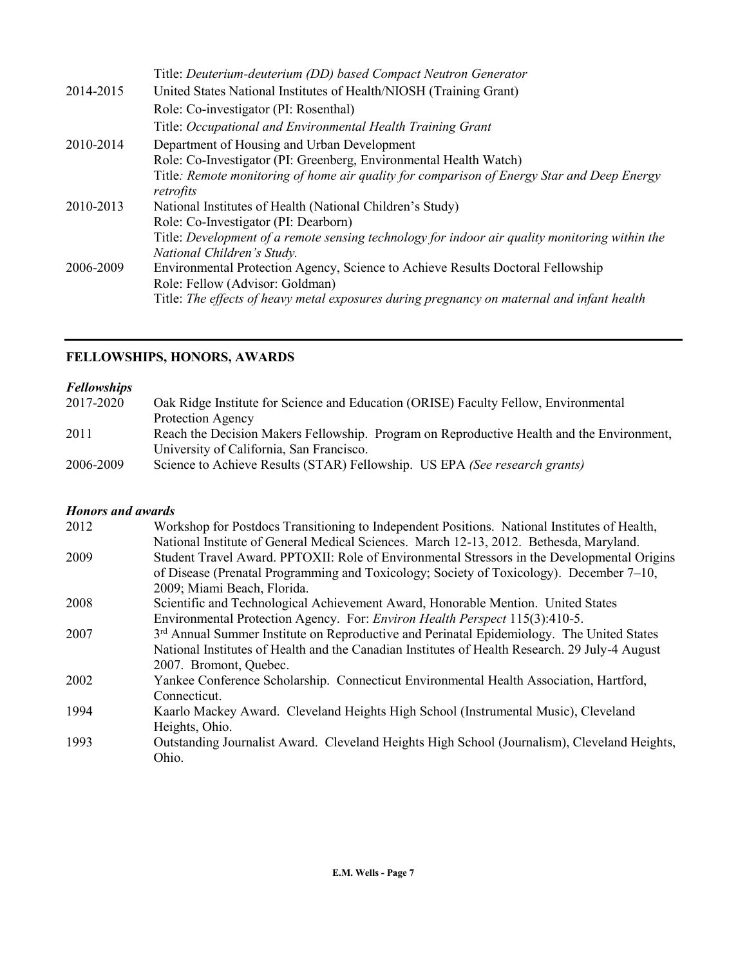| Title: Deuterium-deuterium (DD) based Compact Neutron Generator                                |
|------------------------------------------------------------------------------------------------|
| United States National Institutes of Health/NIOSH (Training Grant)                             |
| Role: Co-investigator (PI: Rosenthal)                                                          |
| Title: Occupational and Environmental Health Training Grant                                    |
| Department of Housing and Urban Development                                                    |
| Role: Co-Investigator (PI: Greenberg, Environmental Health Watch)                              |
| Title: Remote monitoring of home air quality for comparison of Energy Star and Deep Energy     |
| retrofits                                                                                      |
| National Institutes of Health (National Children's Study)                                      |
| Role: Co-Investigator (PI: Dearborn)                                                           |
| Title: Development of a remote sensing technology for indoor air quality monitoring within the |
| National Children's Study.                                                                     |
| Environmental Protection Agency, Science to Achieve Results Doctoral Fellowship                |
| Role: Fellow (Advisor: Goldman)                                                                |
| Title: The effects of heavy metal exposures during pregnancy on maternal and infant health     |
|                                                                                                |

### **FELLOWSHIPS, HONORS, AWARDS**

#### *Fellowships*

| 2017-2020 | Oak Ridge Institute for Science and Education (ORISE) Faculty Fellow, Environmental       |
|-----------|-------------------------------------------------------------------------------------------|
|           | Protection Agency                                                                         |
| 2011      | Reach the Decision Makers Fellowship. Program on Reproductive Health and the Environment, |
|           | University of California, San Francisco.                                                  |
| 2006-2009 | Science to Achieve Results (STAR) Fellowship. US EPA (See research grants)                |

#### *Honors and awards*

| Workshop for Postdocs Transitioning to Independent Positions. National Institutes of Health,<br>National Institute of General Medical Sciences. March 12-13, 2012. Bethesda, Maryland. |
|----------------------------------------------------------------------------------------------------------------------------------------------------------------------------------------|
| Student Travel Award. PPTOXII: Role of Environmental Stressors in the Developmental Origins                                                                                            |
| of Disease (Prenatal Programming and Toxicology; Society of Toxicology). December 7–10,                                                                                                |
| 2009; Miami Beach, Florida.                                                                                                                                                            |
| Scientific and Technological Achievement Award, Honorable Mention. United States                                                                                                       |
| Environmental Protection Agency. For: Environ Health Perspect 115(3):410-5.                                                                                                            |
| $3rd$ Annual Summer Institute on Reproductive and Perinatal Epidemiology. The United States                                                                                            |
| National Institutes of Health and the Canadian Institutes of Health Research. 29 July-4 August                                                                                         |
| 2007. Bromont, Quebec.                                                                                                                                                                 |
| Yankee Conference Scholarship. Connecticut Environmental Health Association, Hartford,                                                                                                 |
| Connecticut.                                                                                                                                                                           |
| Kaarlo Mackey Award. Cleveland Heights High School (Instrumental Music), Cleveland                                                                                                     |
| Heights, Ohio.                                                                                                                                                                         |
| Outstanding Journalist Award. Cleveland Heights High School (Journalism), Cleveland Heights,                                                                                           |
| Ohio.                                                                                                                                                                                  |
|                                                                                                                                                                                        |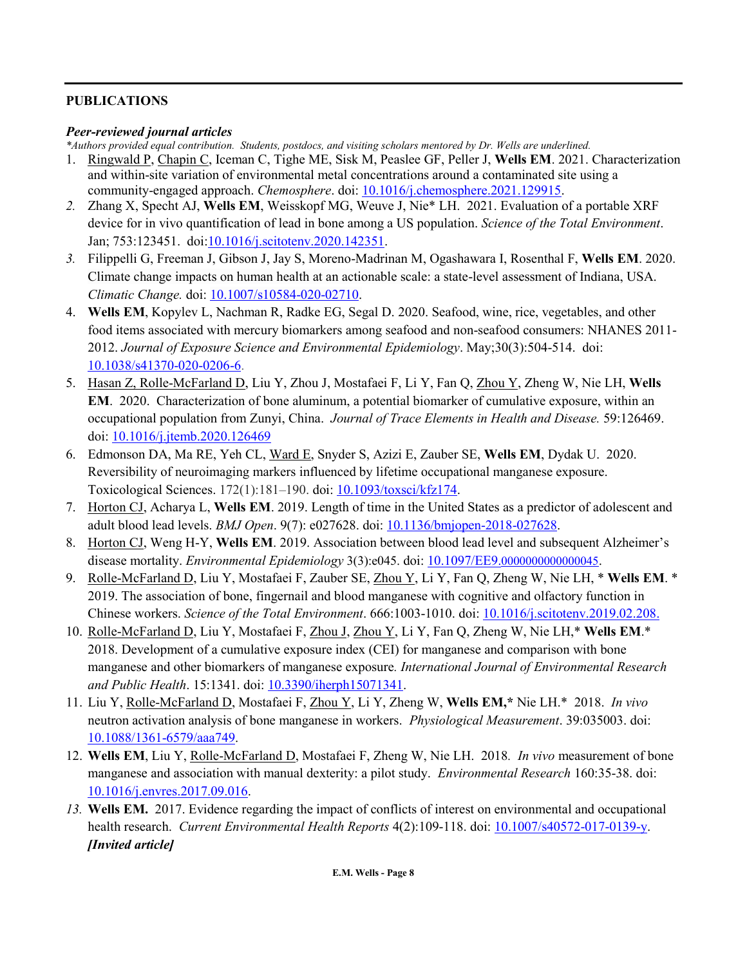# **PUBLICATIONS**

### *Peer-reviewed journal articles*

*\*Authors provided equal contribution. Students, postdocs, and visiting scholars mentored by Dr. Wells are underlined.*

- 1. Ringwald P, Chapin C, Iceman C, Tighe ME, Sisk M, Peaslee GF, Peller J, **Wells EM**. 2021. Characterization and within-site variation of environmental metal concentrations around a contaminated site using a community-engaged approach. *Chemosphere*. doi: [10.1016/j.chemosphere.2021.129915.](https://doi.org/10.1016/j.chemosphere.2021.129915)
- *2.* Zhang X, Specht AJ, **Wells EM**, Weisskopf MG, Weuve J, Nie\* LH. 2021. Evaluation of a portable XRF device for in vivo quantification of lead in bone among a US population. *Science of the Total Environment*. Jan; 753:123451. doi[:10.1016/j.scitotenv.2020.142351.](https://pubmed.ncbi.nlm.nih.gov/33207470/)
- *3.* Filippelli G, Freeman J, Gibson J, Jay S, Moreno-Madrinan M, Ogashawara I, Rosenthal F, **Wells EM**. 2020. Climate change impacts on human health at an actionable scale: a state-level assessment of Indiana, USA. *Climatic Change.* doi: [10.1007/s10584-020-02710.](https://link.springer.com/article/10.1007/s10584-020-02710-9)
- 4. **Wells EM**, Kopylev L, Nachman R, Radke EG, Segal D. 2020. Seafood, wine, rice, vegetables, and other food items associated with mercury biomarkers among seafood and non-seafood consumers: NHANES 2011- 2012. *Journal of Exposure Science and Environmental Epidemiology*. May;30(3):504-514. doi: [10.1038/s41370-020-0206-6.](https://pubmed.ncbi.nlm.nih.gov/32015433/)
- 5. Hasan Z, Rolle-McFarland D, Liu Y, Zhou J, Mostafaei F, Li Y, Fan Q, Zhou Y, Zheng W, Nie LH, **Wells EM**. 2020. Characterization of bone aluminum, a potential biomarker of cumulative exposure, within an occupational population from Zunyi, China. *Journal of Trace Elements in Health and Disease.* 59:126469. doi: [10.1016/j.jtemb.2020.126469](https://www.sciencedirect.com/science/article/pii/S0946672X19305875?via%3Dihub)
- 6. Edmonson DA, Ma RE, Yeh CL, Ward E, Snyder S, Azizi E, Zauber SE, **Wells EM**, Dydak U. 2020. Reversibility of neuroimaging markers influenced by lifetime occupational manganese exposure. Toxicological Sciences. 172(1):181–190. doi: [10.1093/toxsci/kfz174.](https://www.ncbi.nlm.nih.gov/pubmed/?term=10.1093%2Ftoxsci%2Fkfz174)
- 7. Horton CJ, Acharya L, **Wells EM**. 2019. Length of time in the United States as a predictor of adolescent and adult blood lead levels. *BMJ Open*. 9(7): e027628. doi: [10.1136/bmjopen-2018-027628.](https://www.ncbi.nlm.nih.gov/pubmed/?term=10.1136%2Fbmjopen-2018-027628)
- 8. Horton CJ, Weng H-Y, **Wells EM**. 2019. Association between blood lead level and subsequent Alzheimer's disease mortality. *Environmental Epidemiology* 3(3):e045. doi: 10.1097/EE9.[0000000000000045](https://www.ncbi.nlm.nih.gov/pubmed/?term=10.1097%2FEE9.0000000000000045).
- 9. Rolle-McFarland D, Liu Y, Mostafaei F, Zauber SE, Zhou Y, Li Y, Fan Q, Zheng W, Nie LH, \* **Wells EM**. \* 2019. The association of bone, fingernail and blood manganese with cognitive and olfactory function in Chinese workers. *Science of the Total Environment*. 666:1003-1010. doi: [10.1016/j.scitotenv.2019.02.208.](https://www.ncbi.nlm.nih.gov/pubmed/30970467)
- 10. Rolle-McFarland D, Liu Y, Mostafaei F, Zhou J, Zhou Y, Li Y, Fan Q, Zheng W, Nie LH,\* **Wells EM**.\* 2018. Development of a cumulative exposure index (CEI) for manganese and comparison with bone manganese and other biomarkers of manganese exposure*. International Journal of Environmental Research and Public Health*. 15:1341. doi: [10.3390/iherph15071341.](http://www.mdpi.com/1660-4601/15/7/1341)
- 11. Liu Y, Rolle-McFarland D, Mostafaei F, Zhou Y, Li Y, Zheng W, **Wells EM,\*** Nie LH.\* 2018. *In vivo* neutron activation analysis of bone manganese in workers. *Physiological Measurement*. 39:035003. doi: [10.1088/1361-6579/aaa749.](https://doi.org/10.1088/1361-6579/aaa749)
- 12. **Wells EM**, Liu Y, Rolle-McFarland D, Mostafaei F, Zheng W, Nie LH. 2018*. In vivo* measurement of bone manganese and association with manual dexterity: a pilot study. *Environmental Research* 160:35-38. doi: [10.1016/j.envres.2017.09.016.](https://www.ncbi.nlm.nih.gov/pubmed/28961467)
- *13.* **Wells EM.** 2017. Evidence regarding the impact of conflicts of interest on environmental and occupational health research. *Current Environmental Health Reports* 4(2):109-118. doi: [10.1007/s40572-017-0139-y.](https://link.springer.com/article/10.1007%2Fs40572-017-0139-y) *[Invited article]*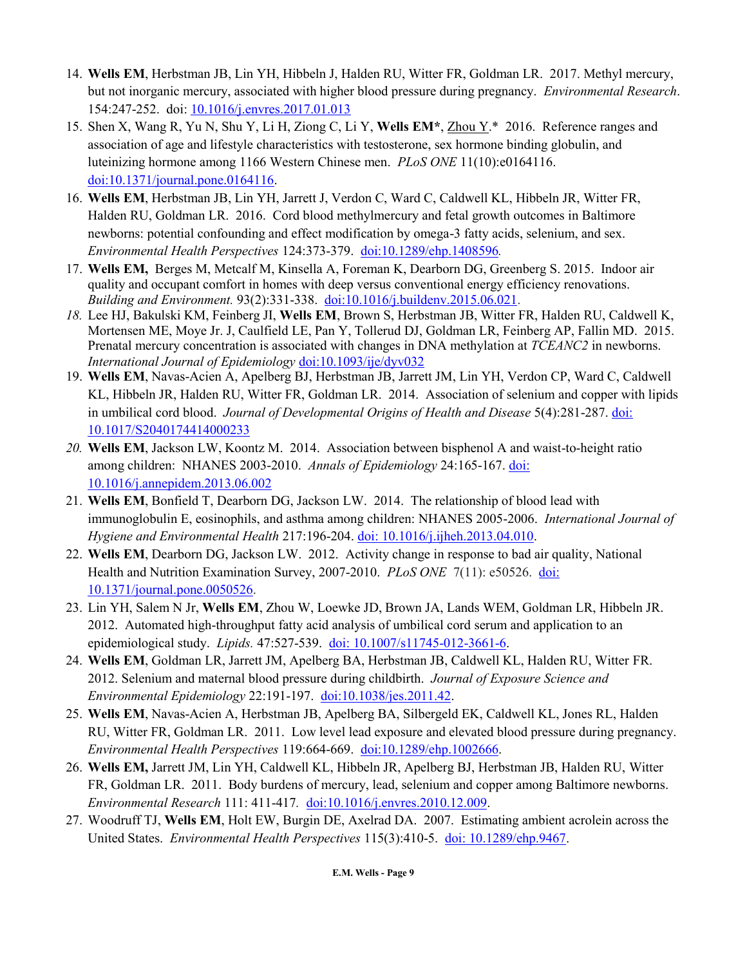- 14. **Wells EM**, Herbstman JB, Lin YH, Hibbeln J, Halden RU, Witter FR, Goldman LR. 2017. Methyl mercury, but not inorganic mercury, associated with higher blood pressure during pregnancy. *Environmental Research*. 154:247-252. doi: [10.1016/j.envres.2017.01.013](http://www.sciencedirect.com/science/article/pii/S0013935116305953)
- 15. Shen X, Wang R, Yu N, Shu Y, Li H, Ziong C, Li Y, **Wells EM\***, Zhou Y.\* 2016. Reference ranges and association of age and lifestyle characteristics with testosterone, sex hormone binding globulin, and luteinizing hormone among 1166 Western Chinese men. *PLoS ONE* 11(10):e0164116. [doi:10.1371/journal.pone.0164116.](http://journals.plos.org/plosone/article?id=10.1371/journal.pone.0164116)
- 16. **Wells EM**, Herbstman JB, Lin YH, Jarrett J, Verdon C, Ward C, Caldwell KL, Hibbeln JR, Witter FR, Halden RU, Goldman LR. 2016. Cord blood methylmercury and fetal growth outcomes in Baltimore newborns: potential confounding and effect modification by omega-3 fatty acids, selenium, and sex. *Environmental Health Perspectives* 124:373-379. [doi:10.1289/ehp.1408596](http://ehp.niehs.nih.gov/1408596/)*.*
- 17. **Wells EM,** Berges M, Metcalf M, Kinsella A, Foreman K, Dearborn DG, Greenberg S. 2015. Indoor air quality and occupant comfort in homes with deep versus conventional energy efficiency renovations. *Building and Environment.* 93(2):331-338. [doi:10.1016/j.buildenv.2015.06.021.](http://www.sciencedirect.com/science/article/pii/S0360132315300354)
- *18.* Lee HJ, Bakulski KM, Feinberg JI, **Wells EM**, Brown S, Herbstman JB, Witter FR, Halden RU, Caldwell K, Mortensen ME, Moye Jr. J, Caulfield LE, Pan Y, Tollerud DJ, Goldman LR, Feinberg AP, Fallin MD. 2015. Prenatal mercury concentration is associated with changes in DNA methylation at *TCEANC2* in newborns. *International Journal of Epidemiology* [doi:10.1093/ije/dyv032](http://www.ncbi.nlm.nih.gov/pubmed/25906783)
- 19. **Wells EM**, Navas-Acien A, Apelberg BJ, Herbstman JB, Jarrett JM, Lin YH, Verdon CP, Ward C, Caldwell KL, Hibbeln JR, Halden RU, Witter FR, Goldman LR. 2014. Association of selenium and copper with lipids in umbilical cord blood. *Journal of Developmental Origins of Health and Disease* 5(4):281-287. [doi:](http://www.ncbi.nlm.nih.gov/pubmed/24965134)  [10.1017/S2040174414000233](http://www.ncbi.nlm.nih.gov/pubmed/24965134)
- *20.* **Wells EM**, Jackson LW, Koontz M. 2014. Association between bisphenol A and waist-to-height ratio among children: NHANES 2003-2010. *Annals of Epidemiology* 24:165-167. [doi:](http://www.ncbi.nlm.nih.gov/pubmed/23830935)  [10.1016/j.annepidem.2013.06.002](http://www.ncbi.nlm.nih.gov/pubmed/23830935)
- 21. **Wells EM**, Bonfield T, Dearborn DG, Jackson LW. 2014. The relationship of blood lead with immunoglobulin E, eosinophils, and asthma among children: NHANES 2005-2006. *International Journal of Hygiene and Environmental Health* 217:196-204. [doi: 10.1016/j.ijheh.2013.04.010.](http://www.ncbi.nlm.nih.gov/pubmed/23726529)
- 22. **Wells EM**, Dearborn DG, Jackson LW. 2012. Activity change in response to bad air quality, National Health and Nutrition Examination Survey, 2007-2010. *PLoS ONE* 7(11): e50526. [doi:](http://journals.plos.org/plosone/article?id=10.1371/journal.pone.0050526)  [10.1371/journal.pone.0050526.](http://journals.plos.org/plosone/article?id=10.1371/journal.pone.0050526)
- 23. Lin YH, Salem N Jr, **Wells EM**, Zhou W, Loewke JD, Brown JA, Lands WEM, Goldman LR, Hibbeln JR. 2012. Automated high-throughput fatty acid analysis of umbilical cord serum and application to an epidemiological study. *Lipids.* 47:527-539. [doi: 10.1007/s11745-012-3661-6.](http://www.ncbi.nlm.nih.gov/pubmed/22430941)
- 24. **Wells EM**, Goldman LR, Jarrett JM, Apelberg BA, Herbstman JB, Caldwell KL, Halden RU, Witter FR. 2012. Selenium and maternal blood pressure during childbirth. *Journal of Exposure Science and Environmental Epidemiology* 22:191-197. [doi:10.1038/jes.2011.42.](http://www.ncbi.nlm.nih.gov/pubmed/22108761)
- 25. **Wells EM**, Navas-Acien A, Herbstman JB, Apelberg BA, Silbergeld EK, Caldwell KL, Jones RL, Halden RU, Witter FR, Goldman LR. 2011. Low level lead exposure and elevated blood pressure during pregnancy. *Environmental Health Perspectives* 119:664-669. [doi:10.1289/ehp.1002666.](http://ehp.niehs.nih.gov/1002666/)
- 26. **Wells EM,** Jarrett JM, Lin YH, Caldwell KL, Hibbeln JR, Apelberg BJ, Herbstman JB, Halden RU, Witter FR, Goldman LR. 2011. Body burdens of mercury, lead, selenium and copper among Baltimore newborns. *Environmental Research* 111: 411-417*.* [doi:10.1016/j.envres.2010.12.009.](http://www.ncbi.nlm.nih.gov/pubmed/21277575)
- 27. Woodruff TJ, **Wells EM**, Holt EW, Burgin DE, Axelrad DA. 2007. Estimating ambient acrolein across the United States. *Environmental Health Perspectives* 115(3):410-5. [doi: 10.1289/ehp.9467.](http://www.ncbi.nlm.nih.gov/pmc/articles/PMC1849926/)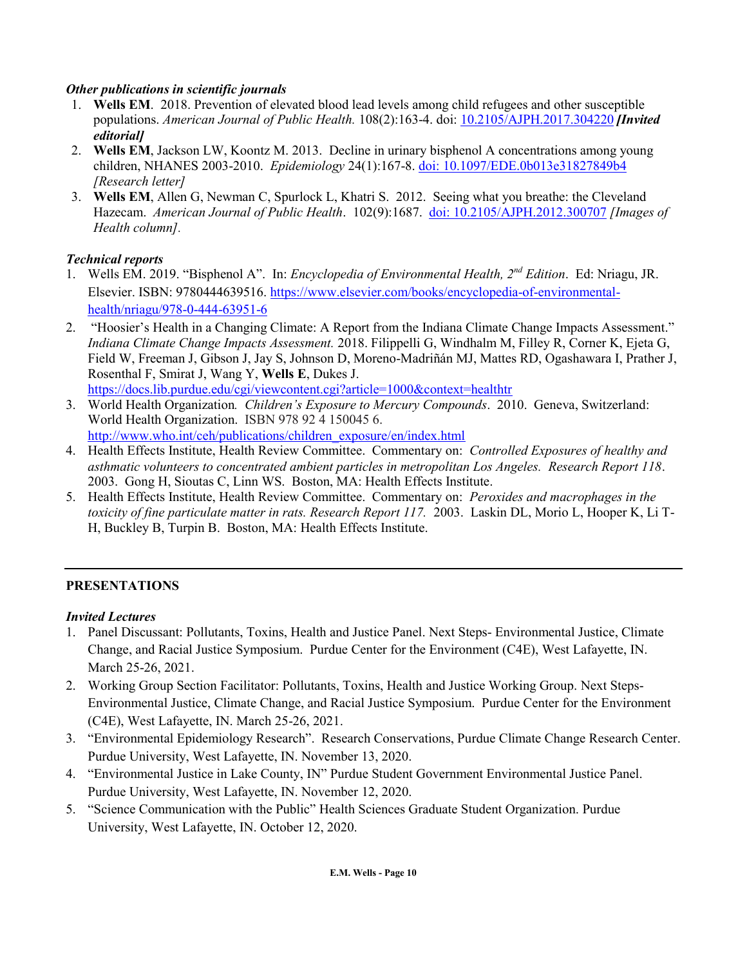#### *Other publications in scientific journals*

- 1. **Wells EM**. 2018. Prevention of elevated blood lead levels among child refugees and other susceptible populations. *American Journal of Public Health.* 108(2):163-4. doi: [10.2105/AJPH.2017.304220](http://ajph.aphapublications.org/doi/10.2105/AJPH.2017.304220) *[Invited editorial]*
- 2. **Wells EM**, Jackson LW, Koontz M. 2013. Decline in urinary bisphenol A concentrations among young children, NHANES 2003-2010. *Epidemiology* 24(1):167-8. doi: [10.1097/EDE.0b013e31827849b4](http://www.ncbi.nlm.nih.gov/pubmed/23232617) *[Research letter]*
- 3. **Wells EM**, Allen G, Newman C, Spurlock L, Khatri S. 2012. Seeing what you breathe: the Cleveland Hazecam. *American Journal of Public Health*. 102(9):1687. [doi: 10.2105/AJPH.2012.300707](http://www.ncbi.nlm.nih.gov/pubmed/22813420) *[Images of Health column].*

### *Technical reports*

- 1. Wells EM. 2019. "Bisphenol A". In: *Encyclopedia of Environmental Health, 2nd Edition*. Ed: Nriagu, JR. Elsevier. ISBN: 9780444639516. [https://www.elsevier.com/books/encyclopedia-of-environmental](https://www.elsevier.com/books/encyclopedia-of-environmental-health/nriagu/978-0-444-63951-6)[health/nriagu/978-0-444-63951-6](https://www.elsevier.com/books/encyclopedia-of-environmental-health/nriagu/978-0-444-63951-6)
- 2. "Hoosier's Health in a Changing Climate: A Report from the Indiana Climate Change Impacts Assessment." *Indiana Climate Change Impacts Assessment.* 2018. Filippelli G, Windhalm M, Filley R, Corner K, Ejeta G, Field W, Freeman J, Gibson J, Jay S, Johnson D, Moreno-Madriñán MJ, Mattes RD, Ogashawara I, Prather J, Rosenthal F, Smirat J, Wang Y, **Wells E**, Dukes J. <https://docs.lib.purdue.edu/cgi/viewcontent.cgi?article=1000&context=healthtr>
- 3. World Health Organization*. Children's Exposure to Mercury Compounds*. 2010. Geneva, Switzerland: World Health Organization. ISBN 978 92 4 150045 6. [http://www.who.int/ceh/publications/children\\_exposure/en/index.html](http://www.who.int/ceh/publications/children_exposure/en/index.html)
- 4. Health Effects Institute, Health Review Committee. Commentary on: *Controlled Exposures of healthy and asthmatic volunteers to concentrated ambient particles in metropolitan Los Angeles. Research Report 118*. 2003. Gong H, Sioutas C, Linn WS. Boston, MA: Health Effects Institute.
- 5. Health Effects Institute, Health Review Committee. Commentary on: *Peroxides and macrophages in the toxicity of fine particulate matter in rats. Research Report 117.* 2003. Laskin DL, Morio L, Hooper K, Li T-H, Buckley B, Turpin B. Boston, MA: Health Effects Institute.

## **PRESENTATIONS**

## *Invited Lectures*

- 1. Panel Discussant: Pollutants, Toxins, Health and Justice Panel. Next Steps- Environmental Justice, Climate Change, and Racial Justice Symposium. Purdue Center for the Environment (C4E), West Lafayette, IN. March 25-26, 2021.
- 2. Working Group Section Facilitator: Pollutants, Toxins, Health and Justice Working Group. Next Steps-Environmental Justice, Climate Change, and Racial Justice Symposium. Purdue Center for the Environment (C4E), West Lafayette, IN. March 25-26, 2021.
- 3. "Environmental Epidemiology Research". Research Conservations, Purdue Climate Change Research Center. Purdue University, West Lafayette, IN. November 13, 2020.
- 4. "Environmental Justice in Lake County, IN" Purdue Student Government Environmental Justice Panel. Purdue University, West Lafayette, IN. November 12, 2020.
- 5. "Science Communication with the Public" Health Sciences Graduate Student Organization. Purdue University, West Lafayette, IN. October 12, 2020.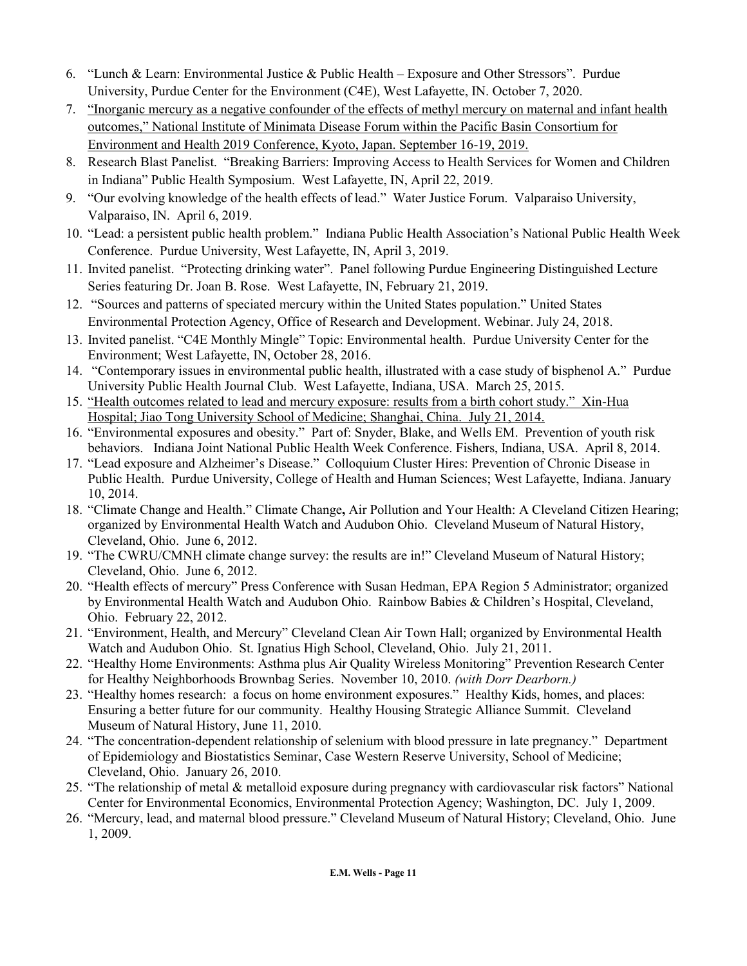- 6. "Lunch & Learn: Environmental Justice & Public Health Exposure and Other Stressors". Purdue University, Purdue Center for the Environment (C4E), West Lafayette, IN. October 7, 2020.
- 7. "Inorganic mercury as a negative confounder of the effects of methyl mercury on maternal and infant health outcomes," National Institute of Minimata Disease Forum within the Pacific Basin Consortium for Environment and Health 2019 Conference, Kyoto, Japan. September 16-19, 2019.
- 8. Research Blast Panelist. "Breaking Barriers: Improving Access to Health Services for Women and Children in Indiana" Public Health Symposium. West Lafayette, IN, April 22, 2019.
- 9. "Our evolving knowledge of the health effects of lead." Water Justice Forum. Valparaiso University, Valparaiso, IN. April 6, 2019.
- 10. "Lead: a persistent public health problem." Indiana Public Health Association's National Public Health Week Conference. Purdue University, West Lafayette, IN, April 3, 2019.
- 11. Invited panelist. "Protecting drinking water". Panel following Purdue Engineering Distinguished Lecture Series featuring Dr. Joan B. Rose. West Lafayette, IN, February 21, 2019.
- 12. "Sources and patterns of speciated mercury within the United States population." United States Environmental Protection Agency, Office of Research and Development. Webinar. July 24, 2018.
- 13. Invited panelist. "C4E Monthly Mingle" Topic: Environmental health. Purdue University Center for the Environment; West Lafayette, IN, October 28, 2016.
- 14. "Contemporary issues in environmental public health, illustrated with a case study of bisphenol A." Purdue University Public Health Journal Club. West Lafayette, Indiana, USA. March 25, 2015.
- 15. "Health outcomes related to lead and mercury exposure: results from a birth cohort study." Xin-Hua Hospital; Jiao Tong University School of Medicine; Shanghai, China. July 21, 2014.
- 16. "Environmental exposures and obesity." Part of: Snyder, Blake, and Wells EM. Prevention of youth risk behaviors. Indiana Joint National Public Health Week Conference. Fishers, Indiana, USA. April 8, 2014.
- 17. "Lead exposure and Alzheimer's Disease." Colloquium Cluster Hires: Prevention of Chronic Disease in Public Health. Purdue University, College of Health and Human Sciences; West Lafayette, Indiana. January 10, 2014.
- 18. "Climate Change and Health." Climate Change**,** Air Pollution and Your Health: A Cleveland Citizen Hearing; organized by Environmental Health Watch and Audubon Ohio. Cleveland Museum of Natural History, Cleveland, Ohio. June 6, 2012.
- 19. "The CWRU/CMNH climate change survey: the results are in!" Cleveland Museum of Natural History; Cleveland, Ohio. June 6, 2012.
- 20. "Health effects of mercury" Press Conference with Susan Hedman, EPA Region 5 Administrator; organized by Environmental Health Watch and Audubon Ohio. Rainbow Babies & Children's Hospital, Cleveland, Ohio. February 22, 2012.
- 21. "Environment, Health, and Mercury" Cleveland Clean Air Town Hall; organized by Environmental Health Watch and Audubon Ohio. St. Ignatius High School, Cleveland, Ohio. July 21, 2011.
- 22. "Healthy Home Environments: Asthma plus Air Quality Wireless Monitoring" Prevention Research Center for Healthy Neighborhoods Brownbag Series. November 10, 2010. *(with Dorr Dearborn.)*
- 23. "Healthy homes research: a focus on home environment exposures." Healthy Kids, homes, and places: Ensuring a better future for our community. Healthy Housing Strategic Alliance Summit. Cleveland Museum of Natural History, June 11, 2010.
- 24. "The concentration-dependent relationship of selenium with blood pressure in late pregnancy." Department of Epidemiology and Biostatistics Seminar, Case Western Reserve University, School of Medicine; Cleveland, Ohio. January 26, 2010.
- 25. "The relationship of metal & metalloid exposure during pregnancy with cardiovascular risk factors" National Center for Environmental Economics, Environmental Protection Agency; Washington, DC. July 1, 2009.
- 26. "Mercury, lead, and maternal blood pressure." Cleveland Museum of Natural History; Cleveland, Ohio. June 1, 2009.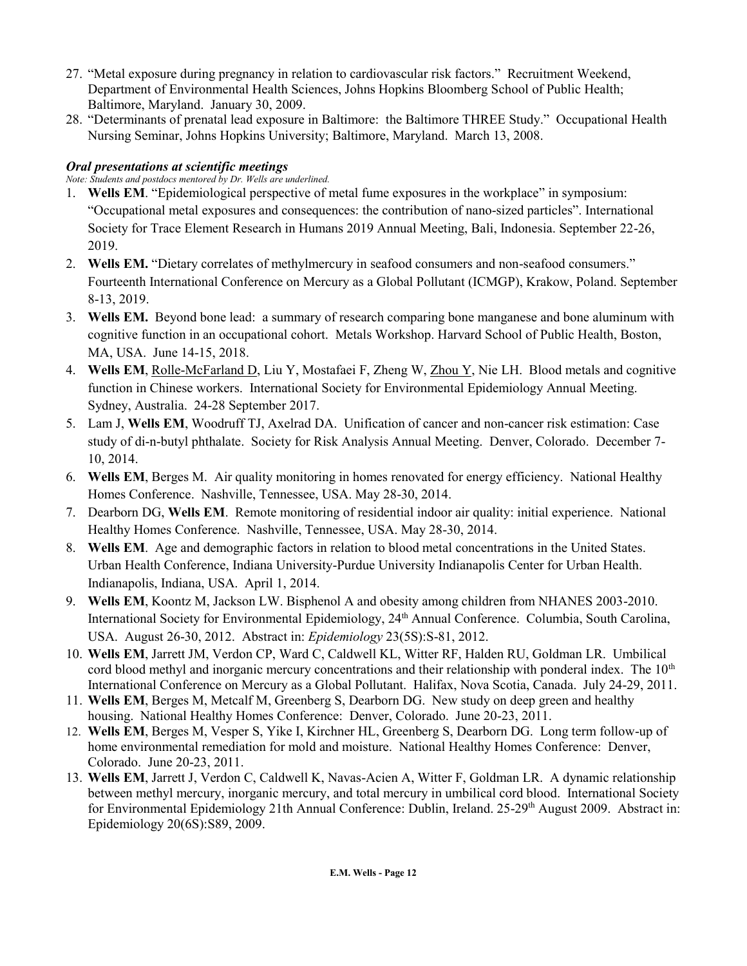- 27. "Metal exposure during pregnancy in relation to cardiovascular risk factors." Recruitment Weekend, Department of Environmental Health Sciences, Johns Hopkins Bloomberg School of Public Health; Baltimore, Maryland. January 30, 2009.
- 28. "Determinants of prenatal lead exposure in Baltimore: the Baltimore THREE Study." Occupational Health Nursing Seminar, Johns Hopkins University; Baltimore, Maryland. March 13, 2008.

### *Oral presentations at scientific meetings*

*Note: Students and postdocs mentored by Dr. Wells are underlined.*

- 1. **Wells EM**. "Epidemiological perspective of metal fume exposures in the workplace" in symposium: "Occupational metal exposures and consequences: the contribution of nano-sized particles". International Society for Trace Element Research in Humans 2019 Annual Meeting, Bali, Indonesia. September 22-26, 2019.
- 2. **Wells EM.** "Dietary correlates of methylmercury in seafood consumers and non-seafood consumers." Fourteenth International Conference on Mercury as a Global Pollutant (ICMGP), Krakow, Poland. September 8-13, 2019.
- 3. **Wells EM.** Beyond bone lead: a summary of research comparing bone manganese and bone aluminum with cognitive function in an occupational cohort. Metals Workshop. Harvard School of Public Health, Boston, MA, USA. June 14-15, 2018.
- 4. **Wells EM**, Rolle-McFarland D, Liu Y, Mostafaei F, Zheng W, Zhou Y, Nie LH. Blood metals and cognitive function in Chinese workers. International Society for Environmental Epidemiology Annual Meeting. Sydney, Australia. 24-28 September 2017.
- 5. Lam J, **Wells EM**, Woodruff TJ, Axelrad DA. Unification of cancer and non-cancer risk estimation: Case study of di-n-butyl phthalate. Society for Risk Analysis Annual Meeting. Denver, Colorado. December 7- 10, 2014.
- 6. **Wells EM**, Berges M. Air quality monitoring in homes renovated for energy efficiency. National Healthy Homes Conference. Nashville, Tennessee, USA. May 28-30, 2014.
- 7. Dearborn DG, **Wells EM**. Remote monitoring of residential indoor air quality: initial experience. National Healthy Homes Conference. Nashville, Tennessee, USA. May 28-30, 2014.
- 8. **Wells EM**. Age and demographic factors in relation to blood metal concentrations in the United States. Urban Health Conference, Indiana University-Purdue University Indianapolis Center for Urban Health. Indianapolis, Indiana, USA. April 1, 2014.
- 9. **Wells EM**, Koontz M, Jackson LW. Bisphenol A and obesity among children from NHANES 2003-2010. International Society for Environmental Epidemiology, 24<sup>th</sup> Annual Conference. Columbia, South Carolina, USA. August 26-30, 2012. Abstract in: *Epidemiology* 23(5S):S-81, 2012.
- 10. **Wells EM**, Jarrett JM, Verdon CP, Ward C, Caldwell KL, Witter RF, Halden RU, Goldman LR. Umbilical cord blood methyl and inorganic mercury concentrations and their relationship with ponderal index. The  $10<sup>th</sup>$ International Conference on Mercury as a Global Pollutant. Halifax, Nova Scotia, Canada. July 24-29, 2011.
- 11. **Wells EM**, Berges M, Metcalf M, Greenberg S, Dearborn DG. New study on deep green and healthy housing. National Healthy Homes Conference: Denver, Colorado. June 20-23, 2011.
- 12. **Wells EM**, Berges M, Vesper S, Yike I, Kirchner HL, Greenberg S, Dearborn DG. Long term follow-up of home environmental remediation for mold and moisture. National Healthy Homes Conference: Denver, Colorado. June 20-23, 2011.
- 13. **Wells EM**, Jarrett J, Verdon C, Caldwell K, Navas-Acien A, Witter F, Goldman LR. A dynamic relationship between methyl mercury, inorganic mercury, and total mercury in umbilical cord blood. International Society for Environmental Epidemiology 21th Annual Conference: Dublin, Ireland. 25-29<sup>th</sup> August 2009. Abstract in: Epidemiology 20(6S):S89, 2009.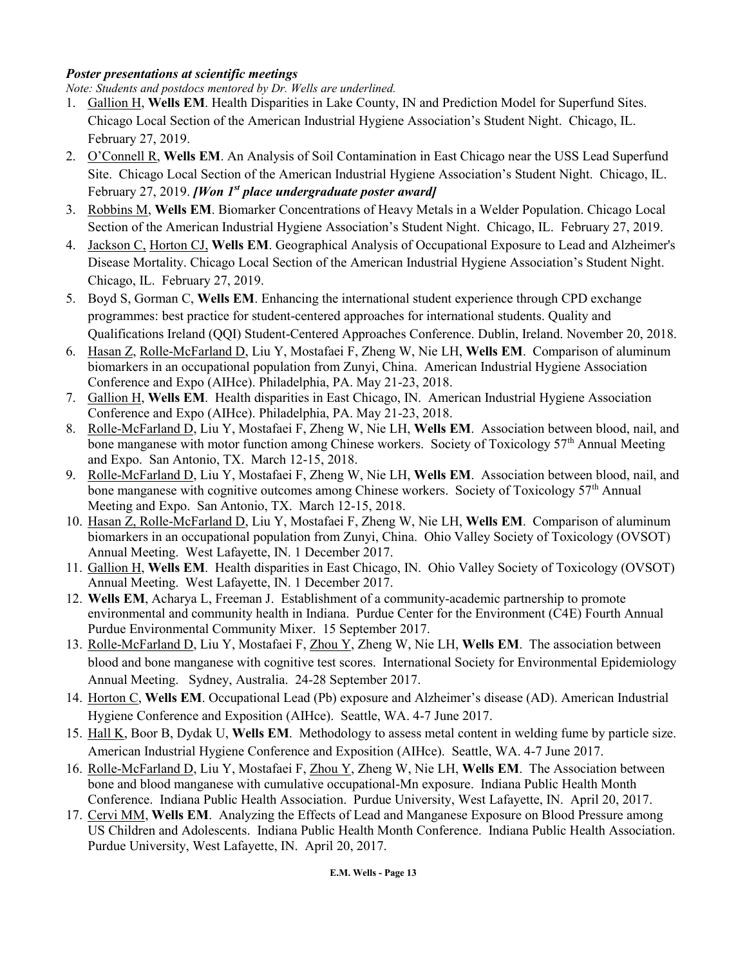### *Poster presentations at scientific meetings*

*Note: Students and postdocs mentored by Dr. Wells are underlined.*

- 1. Gallion H, **Wells EM**. Health Disparities in Lake County, IN and Prediction Model for Superfund Sites. Chicago Local Section of the American Industrial Hygiene Association's Student Night. Chicago, IL. February 27, 2019.
- 2. O'Connell R, **Wells EM**. An Analysis of Soil Contamination in East Chicago near the USS Lead Superfund Site. Chicago Local Section of the American Industrial Hygiene Association's Student Night. Chicago, IL. February 27, 2019. *[Won 1st place undergraduate poster award]*
- 3. Robbins M, **Wells EM**. Biomarker Concentrations of Heavy Metals in a Welder Population. Chicago Local Section of the American Industrial Hygiene Association's Student Night. Chicago, IL. February 27, 2019.
- 4. Jackson C, Horton CJ, **Wells EM**. Geographical Analysis of Occupational Exposure to Lead and Alzheimer's Disease Mortality. Chicago Local Section of the American Industrial Hygiene Association's Student Night. Chicago, IL. February 27, 2019.
- 5. Boyd S, Gorman C, **Wells EM**. Enhancing the international student experience through CPD exchange programmes: best practice for student-centered approaches for international students. Quality and Qualifications Ireland (QQI) Student-Centered Approaches Conference. Dublin, Ireland. November 20, 2018.
- 6. Hasan Z, Rolle-McFarland D, Liu Y, Mostafaei F, Zheng W, Nie LH, **Wells EM**. Comparison of aluminum biomarkers in an occupational population from Zunyi, China. American Industrial Hygiene Association Conference and Expo (AIHce). Philadelphia, PA. May 21-23, 2018.
- 7. Gallion H, **Wells EM**. Health disparities in East Chicago, IN. American Industrial Hygiene Association Conference and Expo (AIHce). Philadelphia, PA. May 21-23, 2018.
- 8. Rolle-McFarland D, Liu Y, Mostafaei F, Zheng W, Nie LH, **Wells EM**. Association between blood, nail, and bone manganese with motor function among Chinese workers. Society of Toxicology 57<sup>th</sup> Annual Meeting and Expo. San Antonio, TX. March 12-15, 2018.
- 9. Rolle-McFarland D, Liu Y, Mostafaei F, Zheng W, Nie LH, **Wells EM**. Association between blood, nail, and bone manganese with cognitive outcomes among Chinese workers. Society of Toxicology 57<sup>th</sup> Annual Meeting and Expo. San Antonio, TX. March 12-15, 2018.
- 10. Hasan Z, Rolle-McFarland D, Liu Y, Mostafaei F, Zheng W, Nie LH, **Wells EM**. Comparison of aluminum biomarkers in an occupational population from Zunyi, China. Ohio Valley Society of Toxicology (OVSOT) Annual Meeting. West Lafayette, IN. 1 December 2017.
- 11. Gallion H, **Wells EM**. Health disparities in East Chicago, IN. Ohio Valley Society of Toxicology (OVSOT) Annual Meeting. West Lafayette, IN. 1 December 2017.
- 12. **Wells EM**, Acharya L, Freeman J. Establishment of a community-academic partnership to promote environmental and community health in Indiana. Purdue Center for the Environment (C4E) Fourth Annual Purdue Environmental Community Mixer. 15 September 2017.
- 13. Rolle-McFarland D, Liu Y, Mostafaei F, Zhou Y, Zheng W, Nie LH, **Wells EM**. The association between blood and bone manganese with cognitive test scores. International Society for Environmental Epidemiology Annual Meeting. Sydney, Australia. 24-28 September 2017.
- 14. Horton C, **Wells EM**. Occupational Lead (Pb) exposure and Alzheimer's disease (AD). American Industrial Hygiene Conference and Exposition (AIHce). Seattle, WA. 4-7 June 2017.
- 15. Hall K, Boor B, Dydak U, **Wells EM**. Methodology to assess metal content in welding fume by particle size. American Industrial Hygiene Conference and Exposition (AIHce). Seattle, WA. 4-7 June 2017.
- 16. Rolle-McFarland D, Liu Y, Mostafaei F, Zhou Y, Zheng W, Nie LH, **Wells EM**. The Association between bone and blood manganese with cumulative occupational-Mn exposure. Indiana Public Health Month Conference. Indiana Public Health Association. Purdue University, West Lafayette, IN. April 20, 2017.
- 17. Cervi MM, **Wells EM**. Analyzing the Effects of Lead and Manganese Exposure on Blood Pressure among US Children and Adolescents. Indiana Public Health Month Conference. Indiana Public Health Association. Purdue University, West Lafayette, IN. April 20, 2017.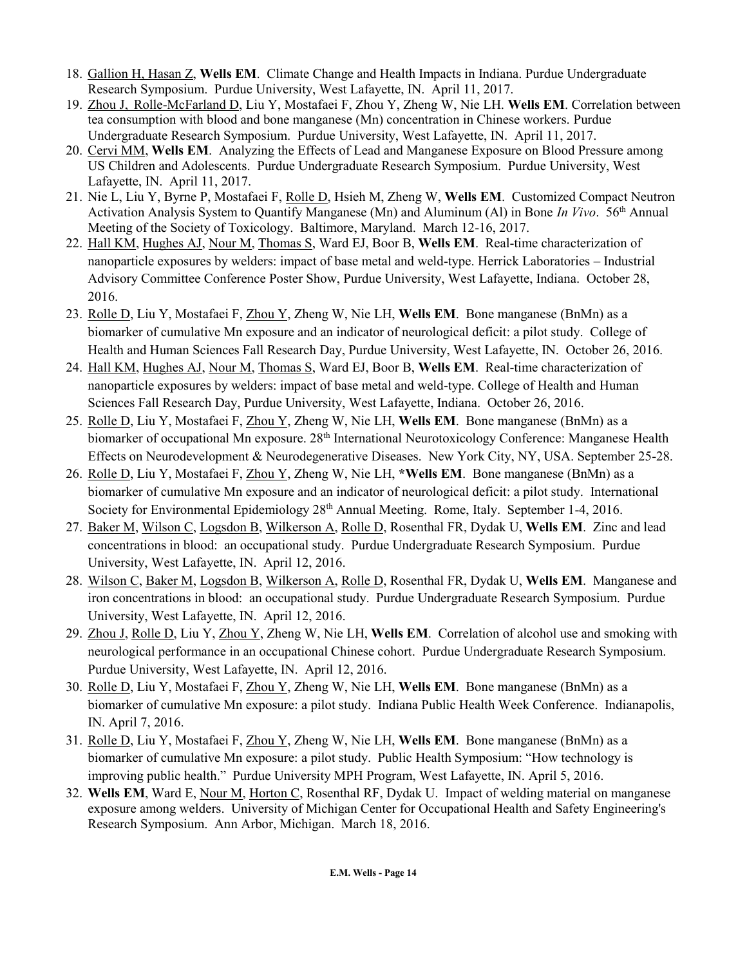- 18. Gallion H, Hasan Z, **Wells EM**. Climate Change and Health Impacts in Indiana. Purdue Undergraduate Research Symposium. Purdue University, West Lafayette, IN. April 11, 2017.
- 19. Zhou J, Rolle-McFarland D, Liu Y, Mostafaei F, Zhou Y, Zheng W, Nie LH. **Wells EM**. Correlation between tea consumption with blood and bone manganese (Mn) concentration in Chinese workers. Purdue Undergraduate Research Symposium. Purdue University, West Lafayette, IN. April 11, 2017.
- 20. Cervi MM, **Wells EM**. Analyzing the Effects of Lead and Manganese Exposure on Blood Pressure among US Children and Adolescents. Purdue Undergraduate Research Symposium. Purdue University, West Lafayette, IN. April 11, 2017.
- 21. Nie L, Liu Y, Byrne P, Mostafaei F, Rolle D, Hsieh M, Zheng W, **Wells EM**. Customized Compact Neutron Activation Analysis System to Quantify Manganese (Mn) and Aluminum (Al) in Bone *In Vivo*. 56th Annual Meeting of the Society of Toxicology. Baltimore, Maryland. March 12-16, 2017.
- 22. Hall KM, Hughes AJ, Nour M, Thomas S, Ward EJ, Boor B, **Wells EM**. Real-time characterization of nanoparticle exposures by welders: impact of base metal and weld-type. Herrick Laboratories – Industrial Advisory Committee Conference Poster Show, Purdue University, West Lafayette, Indiana. October 28, 2016.
- 23. Rolle D, Liu Y, Mostafaei F, Zhou Y, Zheng W, Nie LH, **Wells EM**. Bone manganese (BnMn) as a biomarker of cumulative Mn exposure and an indicator of neurological deficit: a pilot study. College of Health and Human Sciences Fall Research Day, Purdue University, West Lafayette, IN. October 26, 2016.
- 24. Hall KM, Hughes AJ, Nour M, Thomas S, Ward EJ, Boor B, **Wells EM**. Real-time characterization of nanoparticle exposures by welders: impact of base metal and weld-type. College of Health and Human Sciences Fall Research Day, Purdue University, West Lafayette, Indiana. October 26, 2016.
- 25. Rolle D, Liu Y, Mostafaei F, Zhou Y, Zheng W, Nie LH, **Wells EM**. Bone manganese (BnMn) as a biomarker of occupational Mn exposure. 28th International Neurotoxicology Conference: Manganese Health Effects on Neurodevelopment & Neurodegenerative Diseases. New York City, NY, USA. September 25-28.
- 26. Rolle D, Liu Y, Mostafaei F, Zhou Y, Zheng W, Nie LH, **\*Wells EM**. Bone manganese (BnMn) as a biomarker of cumulative Mn exposure and an indicator of neurological deficit: a pilot study. International Society for Environmental Epidemiology 28<sup>th</sup> Annual Meeting. Rome, Italy. September 1-4, 2016.
- 27. Baker M, Wilson C, Logsdon B, Wilkerson A, Rolle D, Rosenthal FR, Dydak U, **Wells EM**. Zinc and lead concentrations in blood: an occupational study. Purdue Undergraduate Research Symposium. Purdue University, West Lafayette, IN. April 12, 2016.
- 28. Wilson C, Baker M, Logsdon B, Wilkerson A, Rolle D, Rosenthal FR, Dydak U, **Wells EM**. Manganese and iron concentrations in blood: an occupational study. Purdue Undergraduate Research Symposium. Purdue University, West Lafayette, IN. April 12, 2016.
- 29. Zhou J, Rolle D, Liu Y, Zhou Y, Zheng W, Nie LH, **Wells EM**. Correlation of alcohol use and smoking with neurological performance in an occupational Chinese cohort. Purdue Undergraduate Research Symposium. Purdue University, West Lafayette, IN. April 12, 2016.
- 30. Rolle D, Liu Y, Mostafaei F, Zhou Y, Zheng W, Nie LH, **Wells EM**. Bone manganese (BnMn) as a biomarker of cumulative Mn exposure: a pilot study. Indiana Public Health Week Conference. Indianapolis, IN. April 7, 2016.
- 31. Rolle D, Liu Y, Mostafaei F, Zhou Y, Zheng W, Nie LH, **Wells EM**. Bone manganese (BnMn) as a biomarker of cumulative Mn exposure: a pilot study. Public Health Symposium: "How technology is improving public health." Purdue University MPH Program, West Lafayette, IN. April 5, 2016.
- 32. **Wells EM**, Ward E, Nour M, Horton C, Rosenthal RF, Dydak U. Impact of welding material on manganese exposure among welders. University of Michigan Center for Occupational Health and Safety Engineering's Research Symposium. Ann Arbor, Michigan. March 18, 2016.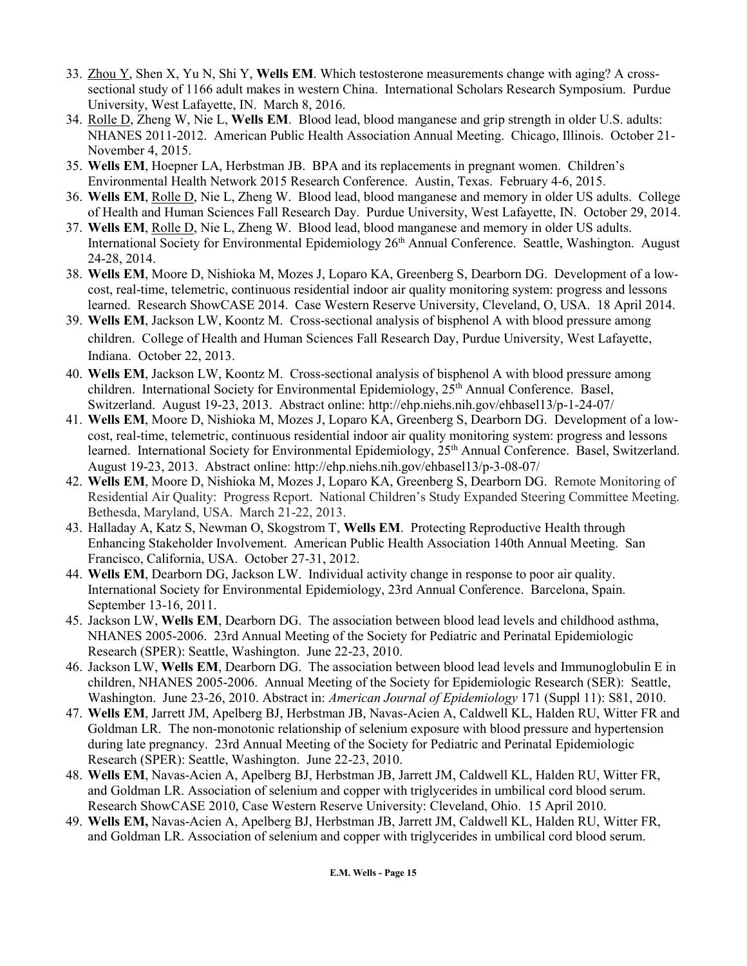- 33. Zhou Y, Shen X, Yu N, Shi Y, **Wells EM**. Which testosterone measurements change with aging? A crosssectional study of 1166 adult makes in western China. International Scholars Research Symposium. Purdue University, West Lafayette, IN. March 8, 2016.
- 34. Rolle D, Zheng W, Nie L, **Wells EM**. Blood lead, blood manganese and grip strength in older U.S. adults: NHANES 2011-2012. American Public Health Association Annual Meeting. Chicago, Illinois. October 21- November 4, 2015.
- 35. **Wells EM**, Hoepner LA, Herbstman JB. BPA and its replacements in pregnant women. Children's Environmental Health Network 2015 Research Conference. Austin, Texas. February 4-6, 2015.
- 36. **Wells EM**, Rolle D, Nie L, Zheng W. Blood lead, blood manganese and memory in older US adults. College of Health and Human Sciences Fall Research Day. Purdue University, West Lafayette, IN. October 29, 2014.
- 37. **Wells EM**, Rolle D, Nie L, Zheng W. Blood lead, blood manganese and memory in older US adults. International Society for Environmental Epidemiology 26<sup>th</sup> Annual Conference. Seattle, Washington. August 24-28, 2014.
- 38. **Wells EM**, Moore D, Nishioka M, Mozes J, Loparo KA, Greenberg S, Dearborn DG. Development of a lowcost, real-time, telemetric, continuous residential indoor air quality monitoring system: progress and lessons learned. Research ShowCASE 2014. Case Western Reserve University, Cleveland, O, USA. 18 April 2014.
- 39. **Wells EM**, Jackson LW, Koontz M. Cross-sectional analysis of bisphenol A with blood pressure among children. College of Health and Human Sciences Fall Research Day, Purdue University, West Lafayette, Indiana. October 22, 2013.
- 40. **Wells EM**, Jackson LW, Koontz M. Cross-sectional analysis of bisphenol A with blood pressure among children. International Society for Environmental Epidemiology, 25<sup>th</sup> Annual Conference. Basel, Switzerland. August 19-23, 2013. Abstract online:<http://ehp.niehs.nih.gov/ehbasel13/p-1-24-07/>
- 41. **Wells EM**, Moore D, Nishioka M, Mozes J, Loparo KA, Greenberg S, Dearborn DG. Development of a lowcost, real-time, telemetric, continuous residential indoor air quality monitoring system: progress and lessons learned. International Society for Environmental Epidemiology, 25<sup>th</sup> Annual Conference. Basel, Switzerland. August 19-23, 2013. Abstract online:<http://ehp.niehs.nih.gov/ehbasel13/p-3-08-07/>
- 42. **Wells EM**, Moore D, Nishioka M, Mozes J, Loparo KA, Greenberg S, Dearborn DG. Remote Monitoring of Residential Air Quality: Progress Report. National Children's Study Expanded Steering Committee Meeting. Bethesda, Maryland, USA. March 21-22, 2013.
- 43. Halladay A, Katz S, Newman O, Skogstrom T, **Wells EM**. Protecting Reproductive Health through Enhancing Stakeholder Involvement. American Public Health Association 140th Annual Meeting. San Francisco, California, USA. October 27-31, 2012.
- 44. **Wells EM**, Dearborn DG, Jackson LW. Individual activity change in response to poor air quality. International Society for Environmental Epidemiology, 23rd Annual Conference. Barcelona, Spain. September 13-16, 2011.
- 45. Jackson LW, **Wells EM**, Dearborn DG. The association between blood lead levels and childhood asthma, NHANES 2005-2006. 23rd Annual Meeting of the Society for Pediatric and Perinatal Epidemiologic Research (SPER): Seattle, Washington. June 22-23, 2010.
- 46. Jackson LW, **Wells EM**, Dearborn DG. The association between blood lead levels and Immunoglobulin E in children, NHANES 2005-2006. Annual Meeting of the Society for Epidemiologic Research (SER): Seattle, Washington. June 23-26, 2010. Abstract in: *American Journal of Epidemiology* 171 (Suppl 11): S81, 2010.
- 47. **Wells EM**, Jarrett JM, Apelberg BJ, Herbstman JB, Navas-Acien A, Caldwell KL, Halden RU, Witter FR and Goldman LR. The non-monotonic relationship of selenium exposure with blood pressure and hypertension during late pregnancy. 23rd Annual Meeting of the Society for Pediatric and Perinatal Epidemiologic Research (SPER): Seattle, Washington. June 22-23, 2010.
- 48. **Wells EM**, Navas-Acien A, Apelberg BJ, Herbstman JB, Jarrett JM, Caldwell KL, Halden RU, Witter FR, and Goldman LR. Association of selenium and copper with triglycerides in umbilical cord blood serum. Research ShowCASE 2010, Case Western Reserve University: Cleveland, Ohio. 15 April 2010.
- 49. **Wells EM,** Navas-Acien A, Apelberg BJ, Herbstman JB, Jarrett JM, Caldwell KL, Halden RU, Witter FR, and Goldman LR. Association of selenium and copper with triglycerides in umbilical cord blood serum.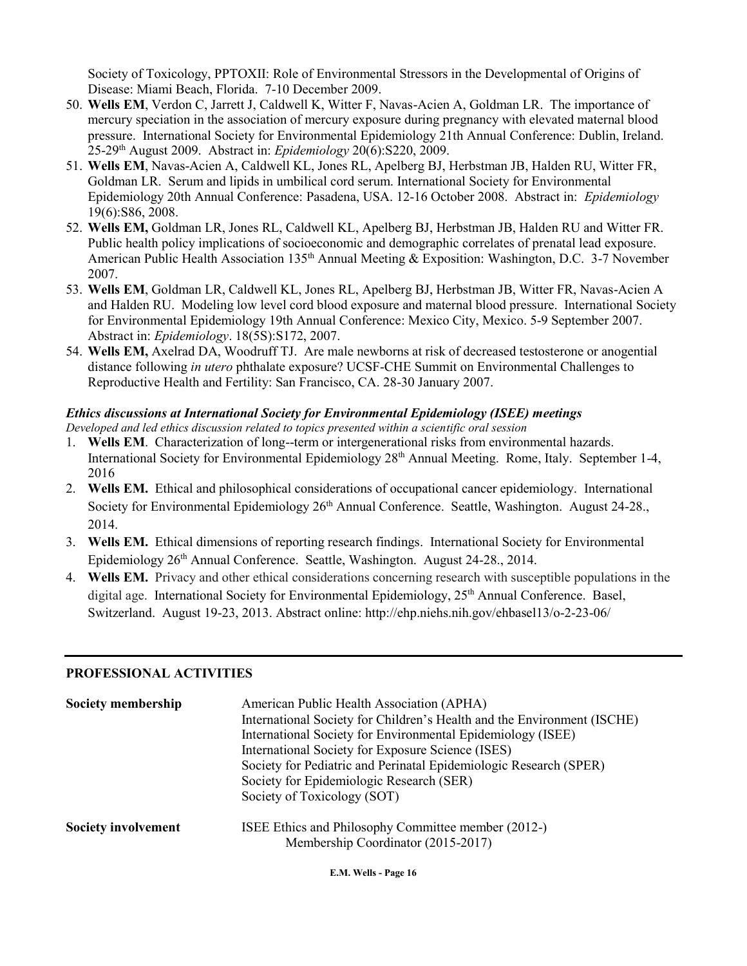Society of Toxicology, PPTOXII: Role of Environmental Stressors in the Developmental of Origins of Disease: Miami Beach, Florida. 7-10 December 2009.

- 50. **Wells EM**, Verdon C, Jarrett J, Caldwell K, Witter F, Navas-Acien A, Goldman LR. The importance of mercury speciation in the association of mercury exposure during pregnancy with elevated maternal blood pressure. International Society for Environmental Epidemiology 21th Annual Conference: Dublin, Ireland. 25-29th August 2009. Abstract in: *Epidemiology* 20(6):S220, 2009.
- 51. **Wells EM**, Navas-Acien A, Caldwell KL, Jones RL, Apelberg BJ, Herbstman JB, Halden RU, Witter FR, Goldman LR. Serum and lipids in umbilical cord serum. International Society for Environmental Epidemiology 20th Annual Conference: Pasadena, USA. 12-16 October 2008. Abstract in: *Epidemiology* 19(6):S86, 2008.
- 52. **Wells EM,** Goldman LR, Jones RL, Caldwell KL, Apelberg BJ, Herbstman JB, Halden RU and Witter FR. Public health policy implications of socioeconomic and demographic correlates of prenatal lead exposure. American Public Health Association 135<sup>th</sup> Annual Meeting & Exposition: Washington, D.C. 3-7 November 2007.
- 53. **Wells EM**, Goldman LR, Caldwell KL, Jones RL, Apelberg BJ, Herbstman JB, Witter FR, Navas-Acien A and Halden RU. Modeling low level cord blood exposure and maternal blood pressure. International Society for Environmental Epidemiology 19th Annual Conference: Mexico City, Mexico. 5-9 September 2007. Abstract in: *Epidemiology*. 18(5S):S172, 2007.
- 54. **Wells EM,** Axelrad DA, Woodruff TJ. Are male newborns at risk of decreased testosterone or anogential distance following *in utero* phthalate exposure? UCSF-CHE Summit on Environmental Challenges to Reproductive Health and Fertility: San Francisco, CA. 28-30 January 2007.

# *Ethics discussions at International Society for Environmental Epidemiology (ISEE) meetings*

*Developed and led ethics discussion related to topics presented within a scientific oral session*

- 1. **Wells EM**. Characterization of long--term or intergenerational risks from environmental hazards. International Society for Environmental Epidemiology 28<sup>th</sup> Annual Meeting. Rome, Italy. September 1-4, 2016
- 2. **Wells EM.** Ethical and philosophical considerations of occupational cancer epidemiology. International Society for Environmental Epidemiology 26<sup>th</sup> Annual Conference. Seattle, Washington. August 24-28., 2014.
- 3. **Wells EM.** Ethical dimensions of reporting research findings. International Society for Environmental Epidemiology 26th Annual Conference. Seattle, Washington. August 24-28., 2014.
- 4. **Wells EM.** Privacy and other ethical considerations concerning research with susceptible populations in the digital age. International Society for Environmental Epidemiology, 25<sup>th</sup> Annual Conference. Basel, Switzerland. August 19-23, 2013. Abstract online:<http://ehp.niehs.nih.gov/ehbasel13/o-2-23-06/>

### **PROFESSIONAL ACTIVITIES**

| Society membership         | American Public Health Association (APHA)<br>International Society for Children's Health and the Environment (ISCHE)<br>International Society for Environmental Epidemiology (ISEE)<br>International Society for Exposure Science (ISES)<br>Society for Pediatric and Perinatal Epidemiologic Research (SPER)<br>Society for Epidemiologic Research (SER)<br>Society of Toxicology (SOT) |
|----------------------------|------------------------------------------------------------------------------------------------------------------------------------------------------------------------------------------------------------------------------------------------------------------------------------------------------------------------------------------------------------------------------------------|
| <b>Society involvement</b> | ISEE Ethics and Philosophy Committee member (2012-)<br>Membership Coordinator (2015-2017)                                                                                                                                                                                                                                                                                                |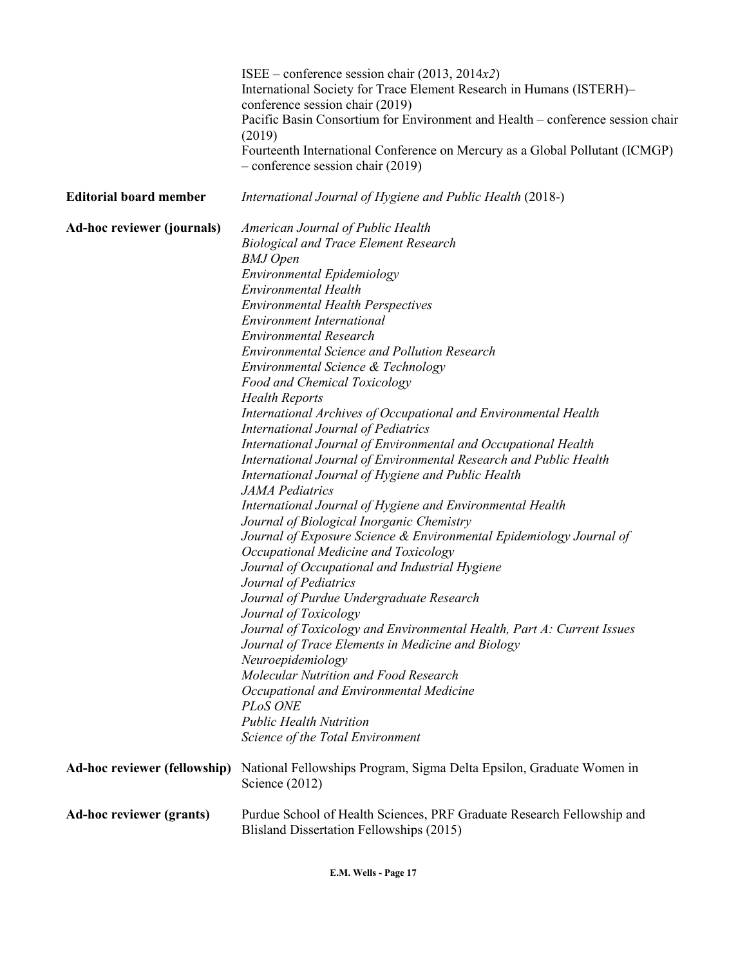|                                 | ISEE – conference session chair $(2013, 2014x2)$<br>International Society for Trace Element Research in Humans (ISTERH)-<br>conference session chair (2019)<br>Pacific Basin Consortium for Environment and Health – conference session chair<br>(2019)<br>Fourteenth International Conference on Mercury as a Global Pollutant (ICMGP)<br>$-$ conference session chair (2019)                                                                                                                                                                                                                                                                                                                                                                                                                                                                                                                                                                                                                                                                                                                                                                                                                                                                                                                                                                                                                                                                                                                          |
|---------------------------------|---------------------------------------------------------------------------------------------------------------------------------------------------------------------------------------------------------------------------------------------------------------------------------------------------------------------------------------------------------------------------------------------------------------------------------------------------------------------------------------------------------------------------------------------------------------------------------------------------------------------------------------------------------------------------------------------------------------------------------------------------------------------------------------------------------------------------------------------------------------------------------------------------------------------------------------------------------------------------------------------------------------------------------------------------------------------------------------------------------------------------------------------------------------------------------------------------------------------------------------------------------------------------------------------------------------------------------------------------------------------------------------------------------------------------------------------------------------------------------------------------------|
| <b>Editorial board member</b>   | International Journal of Hygiene and Public Health (2018-)                                                                                                                                                                                                                                                                                                                                                                                                                                                                                                                                                                                                                                                                                                                                                                                                                                                                                                                                                                                                                                                                                                                                                                                                                                                                                                                                                                                                                                              |
| Ad-hoc reviewer (journals)      | American Journal of Public Health<br><b>Biological and Trace Element Research</b><br><b>BMJ</b> Open<br>Environmental Epidemiology<br><b>Environmental Health</b><br><b>Environmental Health Perspectives</b><br><b>Environment International</b><br><b>Environmental Research</b><br><b>Environmental Science and Pollution Research</b><br>Environmental Science & Technology<br><b>Food and Chemical Toxicology</b><br><b>Health Reports</b><br>International Archives of Occupational and Environmental Health<br><b>International Journal of Pediatrics</b><br>International Journal of Environmental and Occupational Health<br>International Journal of Environmental Research and Public Health<br>International Journal of Hygiene and Public Health<br><b>JAMA</b> Pediatrics<br>International Journal of Hygiene and Environmental Health<br>Journal of Biological Inorganic Chemistry<br>Journal of Exposure Science & Environmental Epidemiology Journal of<br>Occupational Medicine and Toxicology<br>Journal of Occupational and Industrial Hygiene<br>Journal of Pediatrics<br>Journal of Purdue Undergraduate Research<br>Journal of Toxicology<br>Journal of Toxicology and Environmental Health, Part A: Current Issues<br>Journal of Trace Elements in Medicine and Biology<br>Neuroepidemiology<br>Molecular Nutrition and Food Research<br>Occupational and Environmental Medicine<br>PL <sub>o</sub> S ONE<br><b>Public Health Nutrition</b><br>Science of the Total Environment |
| Ad-hoc reviewer (fellowship)    | National Fellowships Program, Sigma Delta Epsilon, Graduate Women in<br>Science $(2012)$                                                                                                                                                                                                                                                                                                                                                                                                                                                                                                                                                                                                                                                                                                                                                                                                                                                                                                                                                                                                                                                                                                                                                                                                                                                                                                                                                                                                                |
| <b>Ad-hoc reviewer (grants)</b> | Purdue School of Health Sciences, PRF Graduate Research Fellowship and<br>Blisland Dissertation Fellowships (2015)                                                                                                                                                                                                                                                                                                                                                                                                                                                                                                                                                                                                                                                                                                                                                                                                                                                                                                                                                                                                                                                                                                                                                                                                                                                                                                                                                                                      |